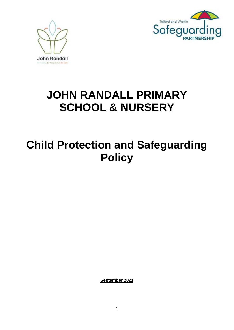



# **JOHN RANDALL PRIMARY SCHOOL & NURSERY**

# **Child Protection and Safeguarding Policy**

**September 2021**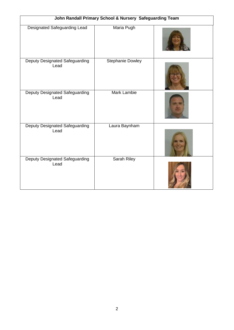| John Randall Primary School & Nursery Safeguarding Team |                         |  |  |  |  |  |
|---------------------------------------------------------|-------------------------|--|--|--|--|--|
| <b>Designated Safeguarding Lead</b>                     | Maria Pugh              |  |  |  |  |  |
| Deputy Designated Safeguarding<br>Lead                  | <b>Stephanie Dowley</b> |  |  |  |  |  |
| Deputy Designated Safeguarding<br>Lead                  | <b>Mark Lambie</b>      |  |  |  |  |  |
| Deputy Designated Safeguarding<br>Lead                  | Laura Baynham           |  |  |  |  |  |
| Deputy Designated Safeguarding<br>Lead                  | Sarah Riley             |  |  |  |  |  |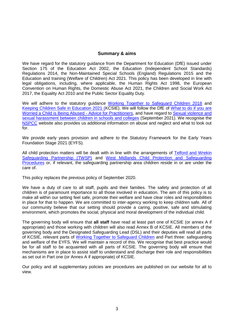## **Summary & aims**

We have regard for the statutory guidance from the Department for Education (DfE) issued under Section 175 of the Education Act 2002, the Education (Independent School Standards) Regulations 2014, the Non-Maintained Special Schools (England) Regulations 2015 and the Education and training (Welfare of Children) Act 2021. This policy has been developed in line with legal obligations, including, where applicable, the Human Rights Act 1998, the European Convention on Human Rights, the Domestic Abuse Act 2021, the Children and Social Work Act 2017, the Equality Act 2010 and the Public Sector Equality Duty.

We will adhere to the statutory guidance [Working Together to Safeguard Children 2018](https://www.gov.uk/government/publications/working-together-to-safeguard-children--2) and Keeping [Children Safe in Education 2021](https://www.gov.uk/government/publications/keeping-children-safe-in-education--2) (KCSIE). We will follow the DfE of [What to do if you are](https://www.gov.uk/government/publications/what-to-do-if-youre-worried-a-child-is-being-abused--2)  [Worried a Child is Being Abused -](https://www.gov.uk/government/publications/what-to-do-if-youre-worried-a-child-is-being-abused--2) Advice for Practitioners, and have regard to Sexual violence and [sexual harassment between children in schools and colleges](https://www.gov.uk/government/publications/sexual-violence-and-sexual-harassment-between-children-in-schools-and-colleges) (September 2021). We recognise the [NSPCC](https://www.nspcc.org.uk/support-us/ways-to-give/donate/?source=ppc-brand&gclsrc=aw.ds&ds_rl=1279303&ds_rl=1279303&gclid=EAIaIQobChMI1PP3q6Wi6wIVmK3tCh1x_QvxEAAYASAAEgKCLPD_BwE&gclsrc=aw.ds) website also provides us additional information on abuse and neglect and what to look out for.

We provide early years provision and adhere to the Statutory Framework for the Early Years Foundation Stage 2021 (EYFS).

All child protection matters will be dealt with in line with the arrangements of Telford and Wrekin [Safeguarding Partnership \(TWSP\)](https://www.telfordsafeguardingboard.org.uk/info/13/i_work_with_children_young_people_and_parents/20/policies_procedures_and_guidance) and [West Midlands Child Protection and Safeguarding](http://westmidlands.procedures.org.uk/)  [Procedures](http://westmidlands.procedures.org.uk/) or, if relevant, the safeguarding partnership area children reside in or are under the care of.

This policy replaces the previous policy of September 2020.

We have a duty of care to all staff, pupils and their families. The safety and protection of all children is of paramount importance to all those involved in education. The aim of this policy is to make all within our setting feel safe, promote their welfare and have clear roles and responsibilities in place for that to happen. We are committed to inter-agency working to keep children safe. All of our community believe that our setting should provide a caring, positive, safe and stimulating environment, which promotes the social, physical and moral development of the individual child.

The governing body will ensure that **all staff** have read at least part one of KCSIE (or annex A if appropriate) and those working with children will also read Annex B of KCSIE. All members of the governing body and the Designated Safeguarding Lead (DSL) and their deputies will read all parts of KCSIE, relevant parts of [Working Together to Safeguard Children](https://www.gov.uk/government/publications/working-together-to-safeguard-children--2) and Part three: safeguarding and welfare of the EYFS. We will maintain a record of this. We recognise that best practice would be for all staff to be acquainted with all parts of KCSIE. The governing body will ensure that mechanisms are in place to assist staff to understand and discharge their role and responsibilities as set out in Part one (or Annex A if appropriate) of KCSIE.

Our policy and all supplementary policies are procedures are published on our website for all to view.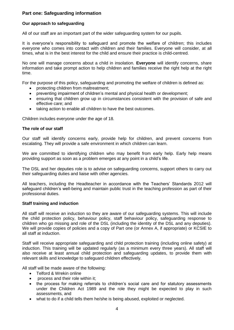# **Part one: Safeguarding information**

## **Our approach to safeguarding**

All of our staff are an important part of the wider safeguarding system for our pupils.

It is everyone's responsibility to safeguard and promote the welfare of children; this includes everyone who comes into contact with children and their families. Everyone will consider, at all times, what is in the best interest for the child and ensure their practice is child-centred.

No one will manage concerns about a child in insolation. **Everyone** will identify concerns, share information and take prompt action to help children and families receive the right help at the right time.

For the purpose of this policy, safeguarding and promoting the welfare of children is defined as:

- protecting children from maltreatment;
- preventing impairment of children's mental and physical health or development;
- ensuring that children grow up in circumstances consistent with the provision of safe and effective care; and
- taking action to enable all children to have the best outcomes.

Children includes everyone under the age of 18.

#### **The role of our staff**

Our staff will identify concerns early, provide help for children, and prevent concerns from escalating. They will provide a safe environment in which children can learn.

We are committed to identifying children who may benefit from early help. Early help means providing support as soon as a problem emerges at any point in a child's life.

The DSL and her deputies role is to advise on safeguarding concerns, support others to carry out their safeguarding duties and liaise with other agencies.

All teachers, including the Headteacher in accordance with the Teachers' Standards 2012 will safeguard children's well-being and maintain public trust in the teaching profession as part of their professional duties.

#### **Staff training and induction**

All staff will receive an induction so they are aware of our safeguarding systems. This will include the child protection policy, behaviour policy, staff behaviour policy, safeguarding response to children who go missing and role of the DSL (including the identity of the DSL and any deputies). We will provide copies of policies and a copy of Part one (or Annex A, if appropriate) or KCSIE to all staff at induction.

Staff will receive appropriate safeguarding and child protection training (including online safety) at induction. This training will be updated regularly (as a minimum every three years). All staff will also receive at least annual child protection and safeguarding updates, to provide them with relevant skills and knowledge to safeguard children effectively.

All staff will be made aware of the following:

- Telford & Wrekin online
- process and their role within it;
- the process for making referrals to children's social care and for statutory assessments under the Children Act 1989 and the role they might be expected to play in such assessments, and
- what to do if a child tells them he/she is being abused, exploited or neglected.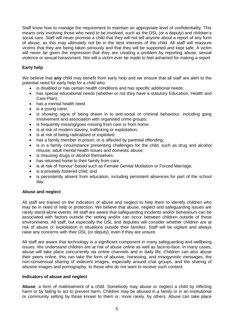Staff know how to manage the requirement to maintain an appropriate level of confidentiality. This means only involving those who need to be involved, such as the DSL (or a deputy) and children's social care. Staff will never promise a child that they will not tell anyone about a report of any form of abuse, as this may ultimately not be in the best interests of the child. All staff will reassure victims that they are being taken seriously and that they will be supported and kept safe. A victim will never be given the impression that they are creating a problem by reporting abuse, sexual violence or sexual harassment. Nor will a victim ever be made to feel ashamed for making a report.

# **Early help**

We believe that **any** child may benefit from early help and we ensure that all staff are alert to the potential need for early help for a child who:

- is disabled or has certain health conditions and has specific additional needs:
- has special educational needs (whether or not they have a statutory Education, Health and Care Plan);
- has a mental health need
- is a young carer;
- is showing signs of being drawn in to anti-social or criminal behaviour, including gang involvement and association with organised crime groups;
- is frequently missing/goes missing from care or from home:
- is at risk of modern slavery, trafficking or exploitation;
- is at risk of being radicalised or exploited;
- has a family member in prison, or is affected by parental offending;
- is in a family circumstance presenting challenges for the child, such as drug and alcohol misuse, adult mental health issues and domestic abuse;
- is misusing drugs or alcohol themselves;
- has returned home to their family from care;
- is at risk of 'honour'-based such as Female Genital Mutilation or Forced Marriage:
- is a privately fostered child; and
- is persistently absent from education, including persistent absences for part of the school day.

## **Abuse and neglect**

All staff are trained on the indicators of abuse and neglect to help them to identify children who may be in need of help or protection. We believe that abuse, neglect and safeguarding issues are rarely stand-alone events. All staff are aware that safeguarding incidents and/or behaviours can be associated with factors outside the setting and/or can occur between children outside of these environments. All staff, but especially the DSL and deputies will consider whether children are at risk of abuse or exploitation in situations outside their families. Staff will be vigilant and always raise any concerns with their DSL (or deputy), even if they are unsure.

All staff are aware that technology is a significant component in many safeguarding and wellbeing issues. We understand children are at risk of abuse online as well as face-to-face. In many cases, abuse will take place concurrently via online channels and in daily life. Children can also abuse their peers online, this can take the form of abusive, harassing, and misogynistic messages, the non-consensual sharing of indecent images, especially around chat groups, and the sharing of abusive images and pornography, to those who do not want to receive such content.

## **Indicators of abuse and neglect**

**Abuse**: a form of maltreatment of a child. Somebody may abuse or neglect a child by inflicting harm or by failing to act to prevent harm. Children may be abused in a family or in an institutional or community setting by those known to them or, more rarely, by others. Abuse can take place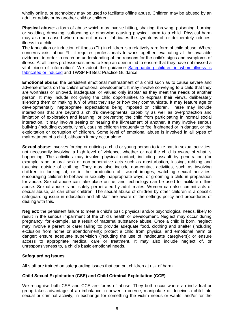wholly online, or technology may be used to facilitate offline abuse. Children may be abused by an adult or adults or by another child or children.

**Physical abuse**: a form of abuse which may involve hitting, shaking, throwing, poisoning, burning or scalding, drowning, suffocating or otherwise causing physical harm to a child. Physical harm may also be caused when a parent or carer fabricates the symptoms of, or deliberately induces, illness in a child.

The fabrication or induction of illness (FII) in children is a relatively rare form of child abuse. Where concerns exist about FII, it requires professionals to work together, evaluating all the available evidence, in order to reach an understanding of the reasons for the child's signs and symptoms of illness. At all times professionals need to keep an open mind to ensure that they have not missed a vital piece of information'. We adopt the guidance [Safeguarding children in whom illness is](https://www.gov.uk/government/publications/safeguarding-children-in-whom-illness-is-fabricated-or-induced)  [fabricated or induced](https://www.gov.uk/government/publications/safeguarding-children-in-whom-illness-is-fabricated-or-induced) and TWSP FII Best Practice Guidance.

**Emotional abuse**: the persistent emotional maltreatment of a child such as to cause severe and adverse effects on the child's emotional development. It may involve conveying to a child that they are worthless or unloved, inadequate, or valued only insofar as they meet the needs of another person. It may include not giving the child opportunities to express their views, deliberately silencing them or 'making fun' of what they say or how they communicate. It may feature age or developmentally inappropriate expectations being imposed on children. These may include interactions that are beyond a child's developmental capability as well as overprotection and limitation of exploration and learning, or preventing the child from participating in normal social interaction. It may involve seeing or hearing the ill-treatment of another. It may involve serious bullying (including cyberbullying), causing children frequently to feel frightened or in danger, or the exploitation or corruption of children. Some level of emotional abuse is involved in all types of maltreatment of a child, although it may occur alone.

**Sexual abuse**: involves forcing or enticing a child or young person to take part in sexual activities, not necessarily involving a high level of violence, whether or not the child is aware of what is happening. The activities may involve physical contact, including assault by penetration (for example rape or oral sex) or non-penetrative acts such as masturbation, kissing, rubbing and touching outside of clothing. They may also include non-contact activities, such as involving children in looking at, or in the production of, sexual images, watching sexual activities, encouraging children to behave in sexually inappropriate ways, or grooming a child in preparation for abuse. Sexual abuse can take place online, and technology can be used to facilitate offline abuse. Sexual abuse is not solely perpetrated by adult males. Women can also commit acts of sexual abuse, as can other children. The sexual abuse of children by other children is a specific safeguarding issue in education and all staff are aware of the settings policy and procedures of dealing with this.

**Neglect**: the persistent failure to meet a child's basic physical and/or psychological needs, likely to result in the serious impairment of the child's health or development. Neglect may occur during pregnancy, for example, as a result of maternal substance abuse. Once a child is born, neglect may involve a parent or carer failing to: provide adequate food, clothing and shelter (including exclusion from home or abandonment); protect a child from physical and emotional harm or danger; ensure adequate supervision (including the use of inadequate caregivers); or ensure access to appropriate medical care or treatment. It may also include neglect of, or unresponsiveness to, a child's basic emotional needs.

## **Safeguarding issues**

All staff are trained on safeguarding issues that can put children at risk of harm.

## **Child Sexual Exploitation (CSE) and Child Criminal Exploitation (CCE)**

We recognise both CSE and CCE are forms of abuse. They both occur where an individual or group takes advantage of an imbalance in power to coerce, manipulate or deceive a child into sexual or criminal activity, in exchange for something the victim needs or wants, and/or for the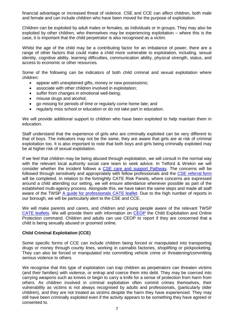financial advantage or increased threat of violence. CSE and CCE can affect children, both male and female and can include children who have been moved for the purpose of exploitation.

Children can be exploited by adult males or females, as individuals or in groups. They may also be exploited by other children, who themselves may be experiencing exploitation – where this is the case, it is important that the child perpetrator is also recognised as a victim.

Whilst the age of the child may be a contributing factor for an imbalance of power, there are a range of other factors that could make a child more vulnerable to exploitation, including, sexual identity, cognitive ability, learning difficulties, communication ability, physical strength, status, and access to economic or other resources.

Some of the following can be indicators of both child criminal and sexual exploitation where children:

- appear with unexplained gifts, money or new possessions;
- associate with other children involved in exploitation;
- suffer from changes in emotional well-being;
- misuse drugs and alcohol;
- go missing for periods of time or regularly come home late; and
- regularly miss school or education or do not take part in education.

We will provide additional support to children who have been exploited to help maintain them in education.

Staff understand that the experience of girls who are criminally exploited can be very different to that of boys. The indicators may not be the same, they are aware that girls are at risk of criminal exploitation too. It is also important to note that both boys and girls being criminally exploited may be at higher risk of sexual exploitation.

If we feel that children may be being abused through exploitation, we will consult in the normal way with the relevant local authority social care team to seek advice. In Telford & Wrekin we will consider whether the incident follows a [CSE care and support Pathway.](https://westmidlands.procedures.org.uk/local-content/4cjN/exploitation-tools-and-pathways/?b=Telford+%26+Wrekin) The concerns will be followed through sensitively and appropriately with fellow professionals and the [CSE referral form](https://westmidlands.procedures.org.uk/local-content/4cjN/exploitation-tools-and-pathways/?b=Telford+%26+Wrekin)  will be completed. In relation to the fortnightly CATE Risk Panels, where concerns are expressed around a child attending our setting, we will ensure attendance whenever possible as part of the established multi-agency process. Alongside this, we have taken the same steps and made all staff aware of the TWSP [A guide for professionals CATE leaflet.](https://westmidlands.procedures.org.uk/local-content/4cjN/exploitation-tools-and-pathways/?b=Telford+%26+Wrekin) Due to the high number of reports in our borough, we will be particularly alert to the CSE and CCE.

We will make parents and carers, and children and young people aware of the relevant TWSP [CATE leaflets.](https://westmidlands.procedures.org.uk/local-content/4cjN/exploitation-tools-and-pathways/?b=Telford+%26+Wrekin) We will provide them with information on [CEOP](https://www.ceop.police.uk/Safety-Centre/Should-I-make-a-report-to-CEOP-YP/) the Child Exploitation and Online Protection command. Children and adults can use CEOP to report if they are concerned that a child is being sexually abused or groomed online.

## **Child Criminal Exploitation (CCE)**

Some specific forms of CCE can include children being forced or manipulated into transporting drugs or money through county lines, working in cannabis factories, shoplifting or pickpocketing. They can also be forced or manipulated into committing vehicle crime or threatening/committing serious violence to others.

We recognise that this type of exploitation can trap children as perpetrators can threaten victims (and their families) with violence, or entrap and coerce them into debt. They may be coerced into carrying weapons such as knives or begin to carry a knife for a sense of protection from harm from others. As children involved in criminal exploitation often commit crimes themselves, their vulnerability as victims is not always recognised by adults and professionals, (particularly older children), and they are not treated as victims despite the harm they have experienced. They may still have been criminally exploited even if the activity appears to be something they have agreed or consented to.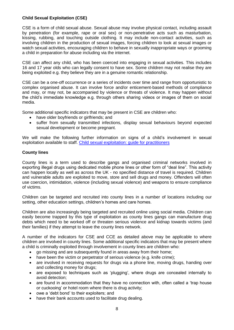## **Child Sexual Exploitation (CSE)**

CSE is a form of child sexual abuse. Sexual abuse may involve physical contact, including assault by penetration (for example, rape or oral sex) or non-penetrative acts such as masturbation, kissing, rubbing, and touching outside clothing. It may include non-contact activities, such as involving children in the production of sexual images, forcing children to look at sexual images or watch sexual activities, encouraging children to behave in sexually inappropriate ways or grooming a child in preparation for abuse including via the internet.

CSE can affect any child, who has been coerced into engaging in sexual activities. This includes 16 and 17 year olds who can legally consent to have sex. Some children may not realise they are being exploited e.g. they believe they are in a genuine romantic relationship.

CSE can be a one-off occurrence or a series of incidents over time and range from opportunistic to complex organised abuse. It can involve force and/or enticement-based methods of compliance and may, or may not, be accompanied by violence or threats of violence. It may happen without the child's immediate knowledge e.g. through others sharing videos or images of them on social media.

Some additional specific indicators that may be present in CSE are children who:

- have older boyfriends or girlfriends; and
- suffer from sexually transmitted infections, display sexual behaviours beyond expected sexual development or become pregnant.

We will make the following further information on signs of a child's involvement in sexual exploitation available to staff. [Child sexual exploitation: guide for practitioners](https://www.gov.uk/government/publications/child-sexual-exploitation-definition-and-guide-for-practitioners)

## **County lines**

County lines is a term used to describe gangs and organised criminal networks involved in exporting illegal drugs using dedicated mobile phone lines or other form of "deal line". This activity can happen locally as well as across the UK - no specified distance of travel is required. Children and vulnerable adults are exploited to move, store and sell drugs and money. Offenders will often use coercion, intimidation, violence (including sexual violence) and weapons to ensure compliance of victims.

Children can be targeted and recruited into county lines in a number of locations including our setting, other education settings, children's homes and care homes.

Children are also increasingly being targeted and recruited online using social media. Children can easily become trapped by this type of exploitation as county lines gangs can manufacture drug debts which need to be worked off or threaten serious violence and kidnap towards victims (and their families) if they attempt to leave the county lines network.

A number of the indicators for CSE and CCE as detailed above may be applicable to where children are involved in county lines. Some additional specific indicators that may be present where a child is criminally exploited through involvement in county lines are children who:

- go missing and are subsequently found in areas away from their home;
- have been the victim or perpetrator of serious violence (e.g. knife crime):
- are involved in receiving requests for drugs via a phone line, moving drugs, handing over and collecting money for drugs;
- are exposed to techniques such as 'plugging', where drugs are concealed internally to avoid detection;
- are found in accommodation that they have no connection with, often called a 'trap house or cuckooing' or hotel room where there is drug activity;
- owe a 'debt bond' to their exploiters; and
- have their bank accounts used to facilitate drug dealing.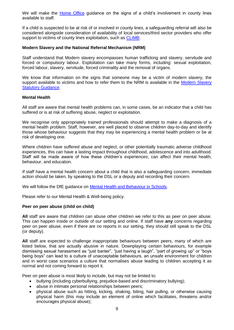We will make the [Home Office](https://assets.publishing.service.gov.uk/government/uploads/system/uploads/attachment_data/file/863323/HOCountyLinesGuidance_-_Sept2018.pdf) guidance on the signs of a child's involvement in county lines available to staff.

If a child is suspected to be at risk of or involved in county lines, a safeguarding referral will also be considered alongside consideration of availability of local services/third sector providers who offer support to victims of county lines exploitation, such as [CLIMB.](https://www.childrenssociety.org.uk/what-we-do/our-services/climb)

## **Modern Slavery and the National Referral Mechanism (NRM)**

Staff understand that Modern slavery encompasses human trafficking and slavery, servitude and forced or compulsory labour. Exploitation can take many forms, including: sexual exploitation, forced labour, slavery, servitude, forced criminality and the removal of organs.

We know that information on the signs that someone may be a victim of modern slavery, the support available to victims and how to refer them to the NRM is available in the Modern Slavery [Statutory Guidance.](https://www.gov.uk/government/collections/modern-slavery)

## **Mental Health**

All staff are aware that mental health problems can, in some cases, be an indicator that a child has suffered or is at risk of suffering abuse, neglect or exploitation.

We recognise only appropriately trained professionals should attempt to make a diagnosis of a mental health problem. Staff, however, are well placed to observe children day-to-day and identify those whose behaviour suggests that they may be experiencing a mental health problem or be at risk of developing one.

Where children have suffered abuse and neglect, or other potentially traumatic adverse childhood experiences, this can have a lasting impact throughout childhood, adolescence and into adulthood. Staff will be made aware of how these children's experiences; can affect their mental health, behaviour, and education.

If staff have a mental health concern about a child that is also a safeguarding concern, immediate action should be taken, by speaking to the DSL or a deputy and recording their concern.

We will follow the DfE guidance on [Mental Health and Behaviour in Schools.](https://www.gov.uk/government/publications/mental-health-and-behaviour-in-schools--2)

Please refer to our Mental Health & Well-being policy.

#### **Peer on peer abuse (child on child)**

**All** staff are aware that children can abuse other children we refer to this as peer on peer abuse. This can happen inside or outside of our setting and online. If staff have **any** concerns regarding peer on peer abuse, even if there are no reports in our setting, they should still speak to the DSL (or deputy).

**All** staff are expected to challenge inappropriate behaviours between peers, many of which are listed below, that are actually abusive in nature. Downplaying certain behaviours, for example dismissing sexual harassment as "just banter", "just having a laugh", "part of growing up" or "boys being boys" can lead to a culture of unacceptable behaviours, an unsafe environment for children and in worst case scenarios a culture that normalises abuse leading to children accepting it as normal and not coming forward to report it.

Peer on peer abuse is most likely to include, but may not be limited to:

- bullying (including cyberbullying, prejudice-based and discriminatory bullying);
- abuse in intimate personal relationships between peers;
- physical abuse such as hitting, kicking, shaking, biting, hair pulling, or otherwise causing physical harm (this may include an element of online which facilitates, threatens and/or encourages physical abuse);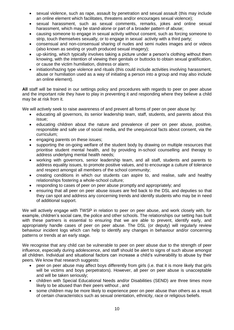- sexual violence, such as rape, assault by penetration and sexual assault (this may include an online element which facilitates, threatens and/or encourages sexual violence);
- sexual harassment, such as sexual comments, remarks, jokes and online sexual harassment, which may be stand-alone or part of a broader pattern of abuse;
- causing someone to engage in sexual activity without consent, such as forcing someone to strip, touch themselves sexually, or to engage in sexual activity with a third party;
- consensual and non-consensual sharing of nudes and semi nudes images and or videos (also known as sexting or youth produced sexual imagery);
- up-skirting, which typically involves taking a picture under a person's clothing without them knowing, with the intention of viewing their genitals or buttocks to obtain sexual gratification, or cause the victim humiliation, distress or alarm;
- initiation/hazing type violence and rituals (this could include activities involving harassment, abuse or humiliation used as a way of initiating a person into a group and may also include an online element).

**All** staff will be trained in our settings policy and procedures with regards to peer on peer abuse and the important role they have to play in preventing it and responding where they believe a child may be at risk from it.

We will actively seek to raise awareness of and prevent all forms of peer on peer abuse by:

- educating all governors, its senior leadership team, staff, students, and parents about this issue;
- educating children about the nature and prevalence of peer on peer abuse, positive, responsible and safe use of social media, and the unequivocal facts about consent, via the curriculum;
- engaging parents on these issues;
- supporting the on-going welfare of the student body by drawing on multiple resources that prioritise student mental health, and by providing in-school counselling and therapy to address underlying mental health needs;
- working with governors, senior leadership team, and all staff, students and parents to address equality issues, to promote positive values, and to encourage a culture of tolerance and respect amongst all members of the school community;
- creating conditions in which our students can aspire to, and realise, safe and healthy relationships fostering a whole-school culture;
- responding to cases of peer on peer abuse promptly and appropriately; and
- ensuring that all peer on peer abuse issues are fed back to the DSL and deputies so that they can spot and address any concerning trends and identify students who may be in need of additional support.

We will actively engage with TWSP in relation to peer on peer abuse, and work closely with, for example, children's social care, the police and other schools. The relationships our setting has built with these partners is essential to ensuring that we are able to prevent, identify early, and appropriately handle cases of peer on peer abuse. The DSL (or deputy) will regularly review behaviour incident logs which can help to identify any changes in behaviour and/or concerning patterns or trends at an early stage.

We recognise that any child can be vulnerable to peer on peer abuse due to the strength of peer influence, especially during adolescence, and staff should be alert to signs of such abuse amongst all children. Individual and situational factors can increase a child's vulnerability to abuse by their peers. We know that research suggests:

- peer on peer abuse may affect boys differently from girls (i.e. that it is more likely that girls will be victims and boys perpetrators). However, all peer on peer abuse is unacceptable and will be taken seriously;
- children with Special Educational Needs and/or Disabilities (SEND) are three times more likely to be abused than their peers without , and
- some children may be more likely to experience peer on peer abuse than others as a result of certain characteristics such as sexual orientation, ethnicity, race or religious beliefs.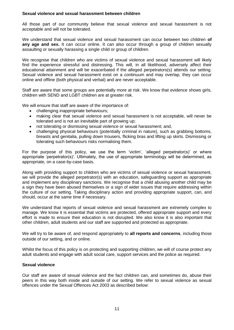## **Sexual violence and sexual harassment between children**

All those part of our community believe that sexual violence and sexual harassment is not acceptable and will not be tolerated.

We understand that sexual violence and sexual harassment can occur between two children **of**  any age and sex. It can occur online. It can also occur through a group of children sexually assaulting or sexually harassing a single child or group of children.

We recognise that children who are victims of sexual violence and sexual harassment will likely find the experience stressful and distressing. This will, in all likelihood, adversely affect their educational attainment and will be exacerbated if the alleged perpetrators(s) attends our setting. Sexual violence and sexual harassment exist on a continuum and may overlap, they can occur online and offline (both physical and verbal) and are never acceptable.

Staff are aware that some groups are potentially more at risk. We know that evidence shows girls, children with SEND and LGBT children are at greater risk.

We will ensure that staff are aware of the importance of:

- challenging inappropriate behaviours;
- making clear that sexual violence and sexual harassment is not acceptable, will never be tolerated and is not an inevitable part of growing up;
- not tolerating or dismissing sexual violence or sexual harassment; and,
- challenging physical behaviours (potentially criminal in nature), such as grabbing bottoms, breasts and genitalia, pulling down trousers, flicking bras and lifting up skirts. Dismissing or tolerating such behaviours risks normalising them.

For the purpose of this policy, we use the term 'victim', 'alleged perpetrator(s)' or where appropriate 'perpetrator(s)'. Ultimately, the use of appropriate terminology will be determined, as appropriate, on a case-by-case basis.

Along with providing support to children who are victims of sexual violence or sexual harassment, we will provide the alleged perpetrator(s) with an education, safeguarding support as appropriate and implement any disciplinary sanctions. We recognise that a child abusing another child may be a sign they have been abused themselves or a sign of wider issues that require addressing within the culture of our setting. Taking disciplinary action and providing appropriate support, can, and should, occur at the same time if necessary.

We understand that reports of sexual violence and sexual harassment are extremely complex to manage. We know it is essential that victims are protected, offered appropriate support and every effort is made to ensure their education is not disrupted. We also know it is also important that other children, adult students and our staff are supported and protected as appropriate.

We will try to be aware of, and respond appropriately to **all reports and concerns**, including those outside of our setting, and or online.

Whilst the focus of this policy is on protecting and supporting children, we will of course protect any adult students and engage with adult social care, support services and the police as required.

## **Sexual violence**

Our staff are aware of sexual violence and the fact children can, and sometimes do, abuse their peers in this way both inside and outside of our setting. We refer to sexual violence as sexual offences under the Sexual Offences Act 2003 as described below: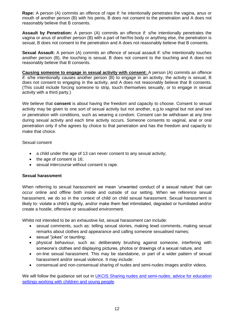**Rape:** A person (A) commits an offence of rape if: he intentionally penetrates the vagina, anus or mouth of another person (B) with his penis, B does not consent to the penetration and A does not reasonably believe that B consents.

**Assault by Penetration:** A person (A) commits an offence if: s/he intentionally penetrates the vagina or anus of another person (B) with a part of her/his body or anything else, the penetration is sexual, B does not consent to the penetration and A does not reasonably believe that B consents.

**Sexual Assault:** A person (A) commits an offence of sexual assault if: s/he intentionally touches another person (B), the touching is sexual, B does not consent to the touching and A does not reasonably believe that B consents.

**Causing someone to engage in sexual activity with consent:** A person (A) commits an offence if: s/he intentionally causes another person (B) to engage in an activity, the activity is sexual, B does not consent to engaging in the activity, and A does not reasonably believe that B consents. (This could include forcing someone to strip, touch themselves sexually, or to engage in sexual activity with a third party.)

We believe that **consent** is about having the freedom and capacity to choose. Consent to sexual activity may be given to one sort of sexual activity but not another, e.g.to vaginal but not anal sex or penetration with conditions, such as wearing a condom. Consent can be withdrawn at any time during sexual activity and each time activity occurs. Someone consents to vaginal, anal or oral penetration only if s/he agrees by choice to that penetration and has the freedom and capacity to make that choice.

Sexual consent

- a child under the age of 13 can never consent to any sexual activity;
- the age of consent is 16;
- sexual intercourse without consent is rape.

## **Sexual harassment**

When referring to sexual harassment we mean 'unwanted conduct of a sexual nature' that can occur online and offline both inside and outside of our setting. When we reference sexual harassment, we do so in the context of child on child sexual harassment. Sexual harassment is likely to: violate a child's dignity, and/or make them feel intimidated, degraded or humiliated and/or create a hostile, offensive or sexualised environment.

Whilst not intended to be an exhaustive list, sexual harassment can include:

- sexual comments, such as: telling sexual stories, making lewd comments, making sexual remarks about clothes and appearance and calling someone sexualised names;
- sexual "jokes" or taunting;
- physical behaviour, such as: deliberately brushing against someone, interfering with someone's clothes and displaying pictures, photos or drawings of a sexual nature, and
- on-line sexual harassment. This may be standalone, or part of a wider pattern of sexual harassment and/or sexual violence. It may include:
- consensual and non-consensual sharing of nudes and semi-nudes images and/or videos.

We will follow the guidance set out in UKCIS Sharing nudes and semi-nudes: advice for education [settings working with children and young people.](https://www.gov.uk/government/publications/sharing-nudes-and-semi-nudes-advice-for-education-settings-working-with-children-and-young-people/sharing-nudes-and-semi-nudes-advice-for-education-settings-working-with-children-and-young-people)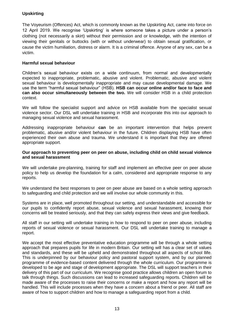# **Upskirting**

The Voyeurism (Offences) Act, which is commonly known as the Upskirting Act, came into force on 12 April 2019. We recognise 'Upskirting' is where someone takes a picture under a person's clothing (not necessarily a skirt) without their permission and or knowledge, with the intention of viewing their genitals or buttocks (with or without underwear) to obtain sexual gratification, or cause the victim humiliation, distress or alarm. It is a criminal offence. Anyone of any sex, can be a victim.

## **Harmful sexual behaviour**

Children's sexual behaviour exists on a wide continuum, from normal and developmentally expected to inappropriate, problematic, abusive and violent. Problematic, abusive and violent sexual behaviour is developmentally inappropriate and may cause developmental damage. We use the term "harmful sexual behaviour" (HSB). **HSB can occur online and/or face to face and can also occur simultaneously between the two.** We will consider HSB in a child protection context.

We will follow the specialist support and advice on HSB available from the specialist sexual violence sector. Our DSL will undertake training in HSB and incorporate this into our approach to managing sexual violence and sexual harassment.

Addressing inappropriate behaviour **can** be an important intervention that helps prevent problematic, abusive and/or violent behaviour in the future. Children displaying HSB have often experienced their own abuse and trauma. We understand it is important that they are offered appropriate support.

## **Our approach to preventing peer on peer on abuse, including child on child sexual violence and sexual harassment**

We will undertake pre-planning, training for staff and implement an effective peer on peer abuse policy to help us develop the foundation for a calm, considered and appropriate response to any reports.

We understand the best responses to peer on peer abuse are based on a whole setting approach to safeguarding and child protection and we will involve our whole community in this.

Systems are in place, well promoted throughout our setting, and understandable and accessible for our pupils to confidently report abuse, sexual violence and sexual harassment, knowing their concerns will be treated seriously, and that they can safely express their views and give feedback.

All staff in our setting will undertake training in how to respond to peer on peer abuse, including reports of sexual violence or sexual harassment. Our DSL will undertake training to manage a report.

We accept the most effective preventative education programme will be through a whole setting approach that prepares pupils for life in modern Britain. Our setting will has a clear set of values and standards, and these will be upheld and demonstrated throughout all aspects of school llife. This is underpinned by our behaviour policy and pastoral support system, and by our planned programme of evidence-based content delivered through the whole curriculum. Our programme is developed to be age and stage of development appropriate. The DSL will support teachers in their delivery of this part of our curriculum. We recognise good practice allows children an open forum to talk through things. Such discussions can lead to increased safeguarding reports. Children will be made aware of the processes to raise their concerns or make a report and how any report will be handled. This will include processes when they have a concern about a friend or peer. All staff are aware of how to support children and how to manage a safeguarding report from a child.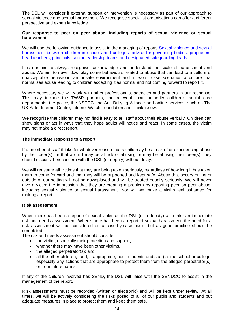The DSL will consider if external support or intervention is necessary as part of our approach to sexual violence and sexual harassment. We recognise specialist organisations can offer a different perspective and expert knowledge.

#### **Our response to peer on peer abuse, including reports of sexual violence or sexual harassment**

We will use the following guidance to assist in the managing of reports Sexual violence and sexual harassment between children in schools and colleges: advice for governing bodies, proprietors, [head teachers, principals, senior leadership teams and designated safeguarding leads.](https://www.gov.uk/government/publications/sexual-violence-and-sexual-harassment-between-children-in-schools-and-colleges)

It is our aim to always recognise, acknowledge and understand the scale of harassment and abuse. We aim to never downplay some behaviours related to abuse that can lead to a culture of unacceptable behaviour, an unsafe environment and in worst case scenarios a culture that normalises abuse leading to children accepting it as normal and not coming forward to report it.

Where necessary we will work with other professionals, agencies and partners in our response. This may include the TWSP partners, the relevant local authority children's social care departments, the police, the NSPCC, the Anti-Bullying Alliance and online services, such as The UK Safer Internet Centre, Internet Watch Foundation and Thinkuknow.

We recognise that children may not find it easy to tell staff about their abuse verbally. Children can show signs or act in ways that they hope adults will notice and react. In some cases, the victim may not make a direct report.

## **The immediate response to a report**

If a member of staff thinks for whatever reason that a child may be at risk of or experiencing abuse by their peer(s), or that a child may be at risk of abusing or may be abusing their peer(s), they should discuss their concern with the DSL (or deputy) without delay.

We will reassure **all** victims that they are being taken seriously, regardless of how long it has taken them to come forward and that they will be supported and kept safe. Abuse that occurs online or outside of our setting will not be downplayed and will be treated equally seriously. We will never give a victim the impression that they are creating a problem by reporting peer on peer abuse, including sexual violence or sexual harassment. Nor will we make a victim feel ashamed for making a report.

#### **Risk assessment**

When there has been a report of sexual violence, the DSL (or a deputy) will make an immediate risk and needs assessment. Where there has been a report of sexual harassment, the need for a risk assessment will be considered on a case-by-case basis, but as good practice should be completed.

The risk and needs assessment should consider:

- the victim, especially their protection and support;
- whether there may have been other victims,
- the alleged perpetrator(s); and
- all the other children, (and, if appropriate, adult students and staff) at the school or college, especially any actions that are appropriate to protect them from the alleged perpetrator(s), or from future harms.

If any of the children involved has SEND, the DSL will liaise with the SENDCO to assist in the management of the report.

Risk assessments must be recorded (written or electronic) and will be kept under review. At all times, we will be actively considering the risks posed to all of our pupils and students and put adequate measures in place to protect them and keep them safe.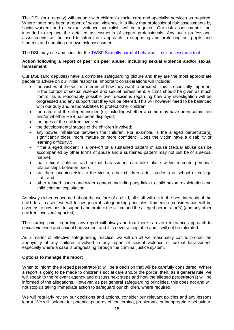The DSL (or a deputy) will engage with children's social care and specialist services as required. Where there has been a report of sexual violence, it is likely that professional risk assessments by social workers and or sexual violence specialists will be required. Our risk assessment is not intended to replace the detailed assessments of expert professionals. Any such professional assessments will be used to inform our approach to supporting and protecting our pupils and students and updating our own risk assessment.

The DSL may use and consider the [TWSP Sexually harmful behaviour -](http://www.telfordsafeguardingboard.org.uk/lscb/downloads/file/38/sexually_harmful_behaviour_-_risk_assessment_tool) risk assessment tool.

## **Action following a report of peer on peer abuse, including sexual violence and/or sexual harassment**

Our DSL (and deputies) have a complete safeguarding picture and they are the most appropriate people to advise on our initial response. Important considerations will include:

- the wishes of the victim in terms of how they want to proceed. This is especially important in the context of sexual violence and sexual harassment. Victims should be given as much control as is reasonably possible over decisions regarding how any investigation will be progressed and any support that they will be offered. This will however need to be balanced with our duty and responsibilities to protect other children;
- the nature of the alleged incident(s), including whether a crime may have been committed and/or whether HSB has been displayed;
- the ages of the children involved;
- the developmental stages of the children involved;
- any power imbalance between the children. For example, is the alleged perpetrator(s) significantly older, more mature or more confident? Does the victim have a disability or learning difficulty?;
- if the alleged incident is a one-off or a sustained pattern of abuse (sexual abuse can be accompanied by other forms of abuse and a sustained pattern may not just be of a sexual nature);
- that sexual violence and sexual harassment can take place within intimate personal relationships between peers;
- are there ongoing risks to the victim, other children, adult students or school or college staff; and,
- other related issues and wider context, including any links to child sexual exploitation and child criminal exploitation.

As always when concerned about the welfare of a child, all staff will act in the best interests of the child. In all cases, we will follow general safeguarding principles. Immediate consideration will be given as to how best to support and protect the victim and the alleged perpetrator(s) (and any other children involved/impacted).

The starting point regarding any report will always be that there is a zero tolerance approach to sexual violence and sexual harassment and it is never acceptable and it will not be tolerated.

As a matter of effective safeguarding practice, we will do all we reasonably can to protect the anonymity of any children involved in any report of sexual violence or sexual harassment, especially where a case is progressing through the criminal justice system.

## **Options to manage the report**

When to inform the alleged perpetrator(s) will be a decision that will be carefully considered. Where a report is going to be made to children's social care and/or the police, then, as a general rule, we will speak to the relevant agency and discuss next steps and how the alleged perpetrator(s) will be informed of the allegations. However, as per general safeguarding principles, this does not and will not stop us taking immediate action to safeguard our children, where required.

We will regularly review our decisions and actions, consider our relevant policies and any lessons learnt. We will look out for potential patterns of concerning, problematic or inappropriate behaviour.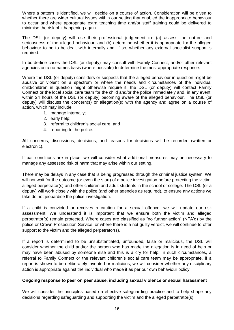Where a pattern is identified, we will decide on a course of action. Consideration will be given to whether there are wider cultural issues within our setting that enabled the inappropriate behaviour to occur and where appropriate extra teaching time and/or staff training could be delivered to minimise the risk of it happening again.

The DSL (or deputy) will use their professional judgement to: (a) assess the nature and seriousness of the alleged behaviour, and (b) determine whether it is appropriate for the alleged behaviour to be to be dealt with internally and, if so, whether any external specialist support is required.

In borderline cases the DSL (or deputy) may consult with Family Connect, and/or other relevant agencies on a no-names basis (where possible) to determine the most appropriate response.

Where the DSL (or deputy) considers or suspects that the alleged behaviour in question might be abusive or violent on a spectrum or where the needs and circumstances of the individual child/children in question might otherwise require it, the DSL (or deputy) will contact Family Connect or the local social care team for the child and/or the police immediately and, in any event, within 24 hours of the DSL (or deputy) becoming aware of the alleged behaviour. The DSL (or deputy) will discuss the concern(s) or allegation(s) with the agency and agree on a course of action, which may include:

- 1. manage internally;
- 2. early help;
- 3. referral to children's social care; and
- 4. reporting to the police.

**All** concerns, discussions, decisions, and reasons for decisions will be recorded (written or electronic).

If bail conditions are in place, we will consider what additional measures may be necessary to manage any assessed risk of harm that may arise within our setting.

There may be delays in any case that is being progressed through the criminal justice system. We will not wait for the outcome (or even the start) of a police investigation before protecting the victim, alleged perpetrator(s) and other children and adult students in the school or college. The DSL (or a deputy) will work closely with the police (and other agencies as required), to ensure any actions we take do not jeopardise the police investigation.

If a child is convicted or receives a caution for a sexual offence, we will update our risk assessment. We understand it is important that we ensure both the victim and alleged perpetrator(s) remain protected. Where cases are classified as "no further action" (NFA'd) by the police or Crown Prosecution Service, or where there is a not guilty verdict, we will continue to offer support to the victim and the alleged perpetrator(s).

If a report is determined to be unsubstantiated, unfounded, false or malicious, the DSL will consider whether the child and/or the person who has made the allegation is in need of help or may have been abused by someone else and this is a cry for help. In such circumstances, a referral to Family Connect or the relevant children's social care team may be appropriate. If a report is shown to be deliberately invented or malicious, we will consider whether any disciplinary action is appropriate against the individual who made it as per our own behaviour policy.

## **Ongoing response to peer on peer abuse, including sexual violence or sexual harassment**

We will consider the principles based on effective safeguarding practice and to help shape any decisions regarding safeguarding and supporting the victim and the alleged perpetrator(s).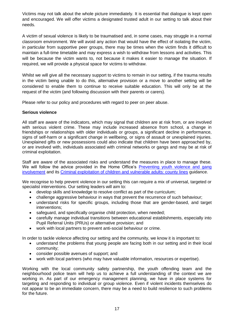Victims may not talk about the whole picture immediately. It is essential that dialogue is kept open and encouraged. We will offer victims a designated trusted adult in our setting to talk about their needs.

A victim of sexual violence is likely to be traumatised and, in some cases, may struggle in a normal classroom environment. We will avoid any action that would have the effect of isolating the victim, in particular from supportive peer groups, there may be times when the victim finds it difficult to maintain a full-time timetable and may express a wish to withdraw from lessons and activities. This will be because the victim wants to, not because it makes it easier to manage the situation. If required, we will provide a physical space for victims to withdraw.

Whilst we will give all the necessary support to victims to remain in our setting, if the trauma results in the victim being unable to do this, alternative provision or a move to another setting will be considered to enable them to continue to receive suitable education. This will only be at the request of the victim (and following discussion with their parents or carers).

Please refer to our policy and procedures with regard to peer on peer abuse.

## **Serious violence**

All staff are aware of the indicators, which may signal that children are at risk from, or are involved with serious violent crime. These may include increased absence from school, a change in friendships or relationships with older individuals or groups, a significant decline in performance, signs of self-harm or a significant change in wellbeing, or signs of assault or unexplained injuries. Unexplained gifts or new possessions could also indicate that children have been approached by, or are involved with, individuals associated with criminal networks or gangs and may be at risk of criminal exploitation.

Staff are aware of the associated risks and understand the measures in place to manage these. We will follow the advice provided in the Home Office's [Preventing youth violence and gang](https://www.gov.uk/government/publications/advice-to-schools-and-colleges-on-gangs-and-youth-violence)  [involvement](https://www.gov.uk/government/publications/advice-to-schools-and-colleges-on-gangs-and-youth-violence) and its [Criminal exploitation of children and vulnerable adults: county lines](https://www.gov.uk/government/publications/criminal-exploitation-of-children-and-vulnerable-adults-county-lines) guidance.

We recognise to help prevent violence in our setting this can require a mix of universal, targeted or specialist interventions. Our setting leaders will aim to:

- develop skills and knowledge to resolve conflict as part of the curriculum;
- challenge aggressive behaviour in ways that prevent the recurrence of such behaviour;
- understand risks for specific groups, including those that are gender-based, and target interventions;
- safeguard, and specifically organise child protection, when needed;
- carefully manage individual transitions between educational establishments, especially into Pupil Referral Units (PRUs) or alternative provision; and
- work with local partners to prevent anti-social behaviour or crime.

In order to tackle violence affecting our setting and the community, we know it is important to:

- understand the problems that young people are facing both in our setting and in their local community;
- consider possible avenues of support; and
- work with local partners (who may have valuable information, resources or expertise).

Working with the local community safety partnership, the youth offending team and the neighbourhood police team will help us to achieve a full understanding of the context we are working in. As part of our emergency management planning, we have in place systems for targeting and responding to individual or group violence. Even if violent incidents themselves do not appear to be an immediate concern, there may be a need to build resilience to such problems for the future.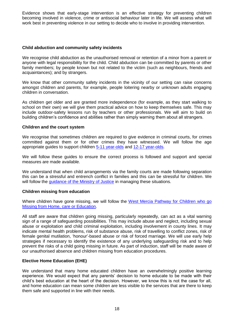Evidence shows that early-stage intervention is an effective strategy for preventing children becoming involved in violence, crime or antisocial behaviour later in life. We will assess what will work best in preventing violence in our setting to decide who to involve in providing intervention.

## **Child abduction and community safety incidents**

We recognise child abduction as the unauthorised removal or retention of a minor from a parent or anyone with legal responsibility for the child. Child abduction can be committed by parents or other family members; by people known but not related to the victim (such as neighbours, friends and acquaintances); and by strangers.

We know that other community safety incidents in the vicinity of our setting can raise concerns amongst children and parents, for example, people loitering nearby or unknown adults engaging children in conversation.

As children get older and are granted more independence (for example, as they start walking to school on their own) we will give them practical advice on how to keep themselves safe. This may include outdoor-safety lessons run by teachers or other professionals. We will aim to build on building children's confidence and abilities rather than simply warning them about all strangers.

## **Children and the court system**

We recognise that sometimes children are required to give evidence in criminal courts, for crimes committed against them or for other crimes they have witnessed. We will follow the age appropriate guides to support children [5-11 year-olds](https://www.gov.uk/government/publications/young-witness-booklet-for-5-to-11-year-olds) and [12-17 year-olds.](https://www.gov.uk/government/publications/young-witness-booklet-for-12-to-17-year-olds)

We will follow these guides to ensure the correct process is followed and support and special measures are made available.

We understand that when child arrangements via the family courts are made following separation this can be a stressful and entrench conflict in families and this can be stressful for children. We will follow the quidance of the Ministry of Justice in managing these situations.

## **Children missing from education**

Where children have gone missing, we will follow the West Mercia Pathway for Children who go [Missing from Home, care or Education.](https://westmidlands.procedures.org.uk/assets/clients/6/Telford%20and%20Wrekin%20Downloads/West%20Mercia%20Missing%20Pathway%20%20-%20FINAL.pdf)

All staff are aware that children going missing, particularly repeatedly, can act as a vital warning sign of a range of safeguarding possibilities. This may include abuse and neglect, including sexual abuse or exploitation and child criminal exploitation, including involvement in county lines. It may indicate mental health problems, risk of substance abuse, risk of travelling to conflict zones, risk of female genital mutilation, 'honour'-based abuse or risk of forced marriage. We will use early help strategies if necessary to identify the existence of any underlying safeguarding risk and to help prevent the risks of a child going missing in future. As part of induction, staff will be made aware of our unauthorised absence and children missing from education procedures.

# **Elective Home Education (EHE)**

We understand that many home educated children have an overwhelmingly positive learning experience. We would expect that any parents' decision to home educate to be made with their child's best education at the heart of the decision. However, we know this is not the case for all, and home education can mean some children are less visible to the services that are there to keep them safe and supported in line with their needs.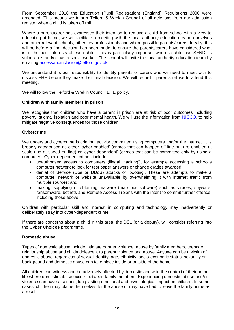From September 2016 the Education (Pupil Registration) (England) Regulations 2006 were amended. This means we inform Telford & Wrekin Council of all deletions from our admission register when a child is taken off roll.

Where a parent/carer has expressed their intention to remove a child from school with a view to educating at home, we will facilitate a meeting with the local authority education team, ourselves and other relevant schools, other key professionals and where possible parents/carers. Ideally, this will be before a final decision has been made, to ensure the parents/carers have considered what is in the best interests of each child. This is particularly important where a child has SEND, is vulnerable, and/or has a social worker. The school will invite the local authority education team by emailing [accessandinclusion@telford.gov.uk.](mailto:accessandinclusion@telford.gov.uk)

We understand it is our responsibility to identify parents or carers who we need to meet with to discuss EHE before they make their final decision. We will record if parents refuse to attend this meeting.

We will follow the Telford & Wrekin Council, EHE policy.

## **Children with family members in prison**

We recognise that children who have a parent in prison are at risk of poor outcomes including poverty, stigma, isolation and poor mental health. We will use the information from [NICCO,](https://www.nicco.org.uk/) to help mitigate negative consequences for those children.

## **Cybercrime**

We understand cybercrime is criminal activity committed using computers and/or the internet. It is broadly categorised as either 'cyber-enabled' (crimes that can happen off-line but are enabled at scale and at speed on-line) or 'cyber dependent' (crimes that can be committed only by using a computer). Cyber-dependent crimes include;

- unauthorised access to computers (illegal 'hacking'), for example accessing a school's computer network to look for test paper answers or change grades awarded;
- denial of Service (Dos or DDoS) attacks or 'booting'. These are attempts to make a computer, network or website unavailable by overwhelming it with internet traffic from multiple sources; and,
- making, supplying or obtaining malware (malicious software) such as viruses, spyware, ransomware, botnets and Remote Access Trojans with the intent to commit further offence, including those above.

Children with particular skill and interest in computing and technology may inadvertently or deliberately stray into cyber-dependent crime.

If there are concerns about a child in this area, the DSL (or a deputy), will consider referring into the **Cyber Choices** programme.

## **Domestic abuse**

Types of domestic abuse include intimate partner violence, abuse by family members, teenage relationship abuse and child/adolescent to parent violence and abuse. Anyone can be a victim of domestic abuse, regardless of sexual identity, age, ethnicity, socio-economic status, sexuality or background and domestic abuse can take place inside or outside of the home.

All children can witness and be adversely affected by domestic abuse in the context of their home life where domestic abuse occurs between family members. Experiencing domestic abuse and/or violence can have a serious, long lasting emotional and psychological impact on children. In some cases, children may blame themselves for the abuse or may have had to leave the family home as a result.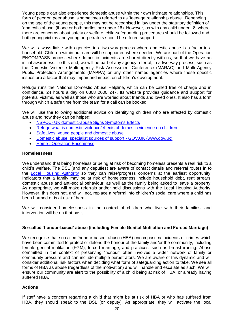Young people can also experience domestic abuse within their own intimate relationships. This form of peer on peer abuse is sometimes referred to as 'teenage relationship abuse'. Depending on the age of the young people, this may not be recognised in law under the statutory definition of 'domestic abuse' (if one or both parties are under 16). However, as with any child under 18, where there are concerns about safety or welfare, child-safeguarding procedures should be followed and both young victims and young perpetrators should be offered support.

We will always liaise with agencies in a two-way process where domestic abuse is a factor in a household. Children within our care will be supported where needed. We are part of the Operation ENCOMPASS process where domestic incidents are shared directly with us, so that we have an initial awareness. To this end, we will be part of any agency referral, in a two-way process, such as the Domestic Violence Multi-agency Risk Assessment Conference (MARAC) and Multi Agency Public Protection Arrangements (MAPPA) or any other named agencies where these specific issues are a factor that may impair and impact on children's development.

Refuge runs the National Domestic Abuse Helpline, which can be called free of charge and in confidence, 24 hours a day on 0808 2000 247. Its website provides guidance and support for potential victims, as well as those who are worried about friends and loved ones. It also has a form through which a safe time from the team for a call can be booked.

We will use the following additional advice on identifying children who are affected by domestic abuse and how they can be helped:

- NSPCC- [UK domestic-abuse Signs Symptoms](https://www.nspcc.org.uk/what-is-child-abuse/types-of-abuse/domestic-abuse/) Effects
- [Refuge what is domestic violence/effects of domestic violence on children](http://www.refuge.org.uk/get-help-now/support-for-women/what-about-my-children/)
- [SafeLives: young people and domestic abuse](https://safelives.org.uk/knowledge-hub/spotlights/spotlight-3-young-people-and-domestic-abuse)
- [Domestic abuse: specialist sources of support -](file:///C:/Users/jayne.codling/AppData/Local/Microsoft/Windows/INetCache/Content.Outlook/6D1CMW3J/Domestic%20abuse:%20specialist%20sources%20of%20support%20-%20GOV.UK%20(www.gov.uk)) GOV.UK (www.gov.uk)
- [Home : Operation Encompass](https://www.operationencompass.org/)

#### **Homelessness**

We understand that being homeless or being at risk of becoming homeless presents a real risk to a child's welfare. The DSL (and any deputies) are aware of contact details and referral routes in to the [Local Housing Authority](https://www.telford.gov.uk/info/20665/are_you_at_risk_of_becoming_homeless/22/homelessness) so they can raise/progress concerns at the earliest opportunity. Indicators that a family may be at risk of homelessness include household debt, rent arrears, domestic abuse and anti-social behaviour, as well as the family being asked to leave a property. As appropriate, we will make referrals and/or hold discussions with the Local Housing Authority. However, this does not, and will not, replace a referral into children's social care where a child has been harmed or is at risk of harm.

We will consider homelessness in the context of children who live with their families, and intervention will be on that basis.

## **So-called 'honour-based' abuse (including Female Genital Mutilation and Forced Marriage)**

We recognise that so-called 'honour-based' abuse (HBA) encompasses incidents or crimes which have been committed to protect or defend the honour of the family and/or the community, including female genital mutilation (FGM), forced marriage, and practices, such as breast ironing. Abuse committed in the context of preserving "honour" often involves a wider network of family or community pressure and can include multiple perpetrators. We are aware of this dynamic and will consider additional risk factors when deciding what form of safeguarding action to take. We see all forms of HBA as abuse (regardless of the motivation) and will handle and escalate as such. We will ensure our community are alert to the possibility of a child being at risk of HBA, or already having suffered HBA.

## **Actions**

If staff have a concern regarding a child that might be at risk of HBA or who has suffered from HBA, they should speak to the DSL (or deputy). As appropriate, they will activate the local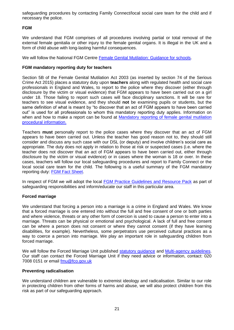safeguarding procedures by contacting Family Connect/local social care team for the child and if necessary the police.

# **FGM**

We understand that FGM comprises of all procedures involving partial or total removal of the external female genitalia or other injury to the female genital organs. It is illegal in the UK and a form of child abuse with long-lasting harmful consequences.

We will follow the National FGM Centre [Female Genital Mutilation: Guidance for schools.](http://nationalfgmcentre.org.uk/wp-content/uploads/2019/06/FGM-Schools-Guidance-National-FGM-Centre.pdf)

## **FGM mandatory reporting duty for teachers**

Section 5B of the Female Genital Mutilation Act 2003 (as inserted by section 74 of the Serious Crime Act 2015) places a statutory duty upon **teachers** along with regulated health and social care professionals in England and Wales, to report to the police where they discover (either through disclosure by the victim or visual evidence) that FGM appears to have been carried out on a girl under 18. Those failing to report such cases will face disciplinary sanctions. It will be rare for teachers to see visual evidence, and they should **not** be examining pupils or students, but the same definition of what is meant by "to discover that an act of FGM appears to have been carried out" is used for all professionals to whom this mandatory reporting duty applies. Information on when and how to make a report can be found at Mandatory reporting of female genital mutilation [procedural information.](https://www.gov.uk/government/publications/mandatory-reporting-of-female-genital-mutilation-procedural-information)

Teachers **must** personally report to the police cases where they discover that an act of FGM appears to have been carried out. Unless the teacher has good reason not to, they should still consider and discuss any such case with our DSL (or deputy) and involve children's social care as appropriate. The duty does not apply in relation to those at risk or suspected cases (i.e. where the teacher does not discover that an act of FGM appears to have been carried out, either through disclosure by the victim or visual evidence) or in cases where the woman is 18 or over. In these cases, teachers will follow our local safeguarding procedures and report to Family Connect or the local social care team for the child. The following is a useful summary of the FGM mandatory reporting duty: [FGM Fact Sheet.](https://assets.publishing.service.gov.uk/government/uploads/system/uploads/attachment_data/file/496415/6_1639_HO_SP_FGM_mandatory_reporting_Fact_sheet_Web.pdf)

In respect of FGM we will adopt the local [FGM Practice Guidelines and Resource Pack](https://westmidlands.procedures.org.uk/pkplt/regional-safeguarding-guidance/female-genital-mutilation) as part of safeguarding responsibilities and inform/educate our staff in this particular area.

## **Forced marriage**

We understand that forcing a person into a marriage is a crime in England and Wales. We know that a forced marriage is one entered into without the full and free consent of one or both parties and where violence, threats or any other form of coercion is used to cause a person to enter into a marriage. Threats can be physical or emotional and psychological. A lack of full and free consent can be where a person does not consent or where they cannot consent (if they have learning disabilities, for example). Nevertheless, some perpetrators use perceived cultural practices as a way to coerce a person into marriage. We play an important role in safeguarding children from forced marriage.

We will follow the Forced Marriage Unit published [statutory guidance](https://www.gov.uk/guidance/forced-marriage) and [Multi-agency guidelines.](https://assets.publishing.service.gov.uk/government/uploads/system/uploads/attachment_data/file/322307/HMG_MULTI_AGENCY_PRACTICE_GUIDELINES_v1_180614_FINAL.pdf) Our staff can contact the Forced Marriage Unit if they need advice or information, contact: 020 7008 0151 or email [fmu@fco.gov.uk](mailto:fmu@fco.gov.uk)

## **Preventing radicalisation**

We understand children are vulnerable to extremist ideology and radicalisation. Similar to our role in protecting children from other forms of harms and abuse, we will also protect children from this risk as part of our safeguarding approach.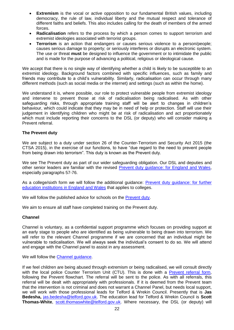- **Extremism** is the vocal or active opposition to our fundamental British values, including democracy, the rule of law, individual liberty and the mutual respect and tolerance of different faiths and beliefs. This also includes calling for the death of members of the armed forces.
- **Radicalisation** refers to the process by which a person comes to support terrorism and extremist ideologies associated with terrorist groups.
- **Terrorism** is an action that endangers or causes serious violence to a person/people; causes serious damage to property; or seriously interferes or disrupts an electronic system. The use or threat **must** be designed to influence the government or to intimidate the public and is made for the purpose of advancing a political, religious or ideological cause.

We accept that there is no single way of identifying whether a child is likely to be susceptible to an extremist ideology. Background factors combined with specific influences, such as family and friends may contribute to a child's vulnerability. Similarly, radicalisation can occur through many different methods (such as social media or the internet) and settings (such as within the home).

We understand it is, where possible, our role to protect vulnerable people from extremist ideology and intervene to prevent those at risk of radicalisation being radicalised. As with other safeguarding risks, through appropriate training staff will be alert to changes in children's behaviour, which could indicate that they may be in need of help or protection. Staff will use their judgement in identifying children who might be at risk of radicalisation and act proportionately which must include reporting their concerns to the DSL (or deputy) who will consider making a Prevent referral.

## **The Prevent duty**

We are subject to a duty under section 26 of the Counter-Terrorism and Security Act 2015 (the CTSA 2015), in the exercise of our functions, to have "due regard to the need to prevent people from being drawn into terrorism". This duty is known as the Prevent duty.

We see The Prevent duty as part of our wider safeguarding obligation. Our DSL and deputies and other senior leaders are familiar with the revised [Prevent duty guidance: for England and Wales,](https://www.gov.uk/government/publications/prevent-duty-guidance) especially paragraphs 57-76.

As a college/sixth form we will follow the additional guidance: [Prevent duty guidance:](https://www.gov.uk/government/publications/prevent-duty-guidance/prevent-duty-guidance-for-further-education-institutions-in-england-and-wales) for further [education institutions in England and Wales](https://www.gov.uk/government/publications/prevent-duty-guidance/prevent-duty-guidance-for-further-education-institutions-in-england-and-wales) that applies to colleges.

We will follow the published advice for schools on the [Prevent duty.](https://www.gov.uk/government/publications/protecting-children-from-radicalisation-the-prevent-duty)

We aim to ensure all staff have completed training on the Prevent duty.

#### **Channel**

Channel is voluntary, as a confidential support programme which focuses on providing support at an early stage to people who are identified as being vulnerable to being drawn into terrorism. We will refer to the relevant Channel programme if we are concerned that an individual might be vulnerable to radicalisation. We will always seek the individual's consent to do so. We will attend and engage with the Channel panel to assist in any assessment.

We will follow the [Channel guidance.](https://www.gov.uk/government/publications/channel-guidance)

If we feel children are being abused through extremism or being radicalised, we will consult directly with the local police Counter Terrorism Unit (CTU). This is done with a [Prevent referral form,](https://www.telford.gov.uk/downloads/file/17302/referral_form) following the Prevent flowchart. The referral will be sent to the police. As with all referrals, this referral will be dealt with appropriately with professionals. If it is deemed from the Prevent team that the intervention is not criminal and does not warrant a Channel Panel, but needs local support, we will work with those professional leads for Telford & Wrekin Council. Presently that is **Jas Bedesha,** [jas.bedesha@telford.gov.uk.](mailto:jas.bedesha@telford.gov.uk) The education lead for Telford & Wrekin Council is **Scott Thomas-White**, [scott.thomaswhite@telford.gov.uk.](mailto:scott.thomaswhite@telford.gov.uk) Where necessary, the DSL (or deputy) will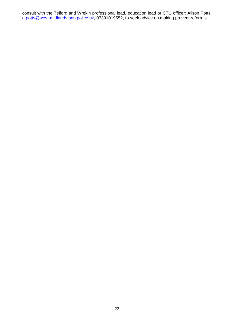consult with the Telford and Wrekin professional lead, education lead or CTU officer: Alison Potts, [a.potts@west-midlands.pnn.police.uk,](mailto:a.potts@west-midlands.pnn.police.uk) 07391019552, to seek advice on making prevent referrals.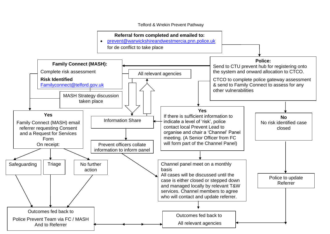Telford & Wrekin Prevent Pathway

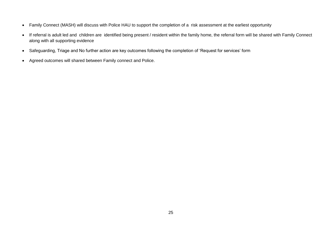- Family Connect (MASH) will discuss with Police HAU to support the completion of a risk assessment at the earliest opportunity
- If referral is adult led and children are identified being present / resident within the family home, the referral form will be shared with Family Connect along with all supporting evidence
- Safeguarding, Triage and No further action are key outcomes following the completion of 'Request for services' form
- Agreed outcomes will shared between Family connect and Police.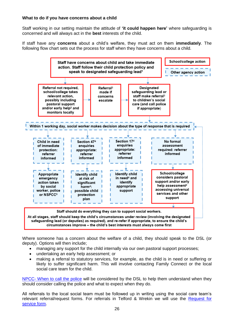## **What to do if you have concerns about a child**

Staff working in our setting maintain the attitude of **'it could happen here'** where safeguarding is concerned and will always act in the **best** interests of the child.

If staff have any **concerns** about a child's welfare, they must act on them **immediately**. The following flow chart sets out the process for staff when they have concerns about a child.



Where someone has a concern about the welfare of a child, they should speak to the DSL (or deputy). Options will then include;

- managing any support for the child internally via our own pastoral support processes;
- undertaking an early help assessment; or
- making a referral to statutory services, for example, as the child is in need or suffering or likely to suffer significant harm. This will involve contacting Family Connect or the local social care team for the child.

NPCC- [When to call the police](https://www.npcc.police.uk/documents/Children%20and%20Young%20people/When%20to%20call%20the%20police%20guidance%20for%20schools%20and%20colleges.pdf) will be considered by the DSL to help them understand when they should consider calling the police and what to expect when they do.

All referrals to the local social team must be followed up in writing using the social care team's relevant referral/request forms. For referrals in Telford & Wrekin we will use the [Request for](https://www.telfordsafeguardingboard.org.uk/downloads/file/391/family_connect_safeguarding_request_for_service_form_2019)  [service form.](https://www.telfordsafeguardingboard.org.uk/downloads/file/391/family_connect_safeguarding_request_for_service_form_2019)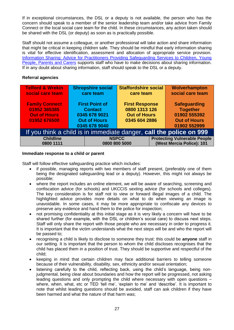If in exceptional circumstances, the DSL or a deputy is not available, the person who has the concern should speak to a member of the senior leadership team and/or take advice from Family Connect or the local social care team for the child. In these circumstances, any action taken should be shared with the DSL (or deputy) as soon as is practically possible.

Staff should not assume a colleague, or another professional will take action and share information that might be critical in keeping children safe. They should be mindful that early information sharing is vital for effective identification, assessment and allocation of appropriate service provision. [Information Sharing: Advice for Practitioners Providing Safeguarding Services to Children, Young](https://www.gov.uk/government/publications/safeguarding-practitioners-information-sharing-advice)  [People, Parents and Carers](https://www.gov.uk/government/publications/safeguarding-practitioners-information-sharing-advice) supports staff who have to make decisions about sharing information. If in any doubt about sharing information, staff should speak to the DSL or a deputy.

# **Referral agencies**

| <b>Telford &amp; Wrekin</b>                                         | <b>Shropshire social</b> |               | <b>Staffordshire social</b> |                           | Wolverhampton                       |  |
|---------------------------------------------------------------------|--------------------------|---------------|-----------------------------|---------------------------|-------------------------------------|--|
| social care team                                                    | care team                |               | care team                   |                           | social care team                    |  |
|                                                                     |                          |               |                             |                           |                                     |  |
| <b>Family Connect</b>                                               | <b>First Point of</b>    |               | <b>First Response</b>       |                           | <b>Safeguarding</b>                 |  |
| 01952 385385                                                        | <b>Contact</b>           |               | 0800 1313 126               |                           | <b>Together</b>                     |  |
| <b>Out of Hours</b>                                                 | 0345 678 9021            |               | <b>Out of Hours</b>         |                           | 01902 555392                        |  |
| 01952 676500                                                        | <b>Out of Hours</b>      |               | 0345 604 2886               |                           | <b>Out of Hours</b>                 |  |
|                                                                     | 0345 678 9040            |               |                             |                           | 01902 552999                        |  |
| If you think a child is in immediate danger, call the police on 999 |                          |               |                             |                           |                                     |  |
| <b>Childline</b>                                                    |                          |               | <b>NSPCC</b>                |                           | <b>Protecting Vulnerable People</b> |  |
| 0800 1111                                                           |                          | 0800 800 5000 |                             | (West Mercia Police): 101 |                                     |  |

#### **Immediate response to a child or parent**

Staff will follow effective safeguarding practice which includes:

- if possible, managing reports with two members of staff present, (preferably one of them being the designated safeguarding lead or a deputy). However, this might not always be possible;
- where the report includes an online element, we will be aware of searching, screening and confiscation advice (for schools) and UKCCIS sexting advice (for schools and colleges). The key consideration is for staff not to view or forward illegal images of a child. The highlighted advice provides more details on what to do when viewing an image is unavoidable. In some cases, it may be more appropriate to confiscate any devices to preserve any evidence and hand them to the police for inspection;
- not promising confidentiality at this initial stage as it is very likely a concern will have to be shared further (for example, with the DSL or children's social care) to discuss next steps. Staff will only share the report with those people who are necessary in order to progress it. It is important that the victim understands what the next steps will be and who the report will be passed to;
- recognising a child is likely to disclose to someone they trust: this could be **anyone** staff in our setting. It is important that the person to whom the child discloses recognises that the child has placed them in a position of trust. They should be supportive and respectful of the child;
- keeping in mind that certain children may face additional barriers to telling someone because of their vulnerability, disability, sex, ethnicity and/or sexual orientation;
- listening carefully to the child, reflecting back, using the child's language, being nonjudgmental, being clear about boundaries and how the report will be progressed, not asking leading questions and only prompting the child where necessary with open questions – where, when, what, etc or TED 'tell me', 'explain to me' and 'describe'. It is important to note that whilst leading questions should be avoided, staff can ask children if they have been harmed and what the nature of that harm was;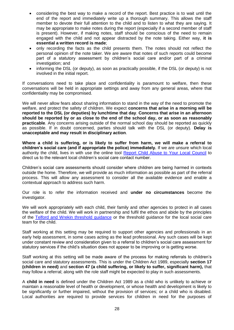- considering the best way to make a record of the report. Best practice is to wait until the end of the report and immediately write up a thorough summary. This allows the staff member to devote their full attention to the child and to listen to what they are saying. It may be appropriate to make notes during the report (especially if a second member of staff is present). However, if making notes, staff should be conscious of the need to remain engaged with the child and not appear distracted by the note taking. Either way, **it is essential a written record is made**;
- only recording the facts as the child presents them. The notes should not reflect the personal opinion of the note taker. We are aware that notes of such reports could become part of a statutory assessment by children's social care and/or part of a criminal investigation; and
- informing the DSL (or deputy), as soon as practically possible, if the DSL (or deputy) is not involved in the initial report.

If conversations need to take place and confidentiality is paramount to welfare, then these conversations will be held in appropriate settings and away from any general areas, where that confidentiality may be compromised.

We will never allow fears about sharing information to stand in the way of the need to promote the welfare, and protect the safety of children. We expect **concerns that arise in a morning will be reported to the DSL (or deputies) by lunchtime that day**. **Concerns that arise in an afternoon should be reported by or as close to the end of the school day, or as soon as reasonably practicable**. Any concerns arising outside of the normal school day should be reported as quickly as possible. If in doubt concerned, parties should talk with the DSL (or deputy). **Delay is unacceptable and may result in disciplinary action**.

**Where a child is suffering, or is likely to suffer from harm, we will make a referral to children's social care (and if appropriate the police) immediately.** If we are unsure which local authority the child, lives in with use the online tool [Report Child Abuse to Your Local Council](https://www.gov.uk/report-child-abuse-to-local-council) to direct us to the relevant local children's social care contact number.

Children's social care assessments should consider where children are being harmed in contexts outside the home. Therefore, we will provide as much information as possible as part of the referral process. This will allow any assessment to consider all the available evidence and enable a contextual approach to address such harm.

Our role is to refer the information received and **under no circumstances** become the investigator.

We will work appropriately with each child, their family and other agencies to protect in all cases the welfare of the child. We will work in partnership and fulfil the ethos and abide by the principles of the [Telford and Wrekin threshold guidance](http://www.telfordsafeguardingboard.org.uk/lscb/info/13/i_work_with_children_young_people_and_parents/20/policies_procedures_and_guidance) or the threshold guidance for the local social care team for the child.

Staff working at this setting may be required to support other agencies and professionals in an early help assessment, in some cases acting as the lead professional. Any such cases will be kept under constant review and consideration given to a referral to children's social care assessment for statutory services if the child's situation does not appear to be improving or is getting worse.

Staff working at this setting will be made aware of the process for making referrals to children's social care and statutory assessments. This is under the Children Act 1989, especially **section 17 (children in need)** and **section 47 (a child suffering, or likely to suffer, significant harm),** that may follow a referral; along with the role staff might be expected to play in such assessments.

A **child in need** is defined under the Children Act 1989 as a child who is unlikely to achieve or maintain a reasonable level of health or development, or whose health and development is likely to be significantly or further impaired, without the provision of services; or a child who is disabled. Local authorities are required to provide services for children in need for the purposes of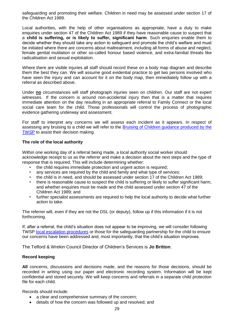safeguarding and promoting their welfare. Children in need may be assessed under section 17 of the Children Act 1989.

Local authorities, with the help of other organisations as appropriate, have a duty to make enquiries under section 47 of the Children Act 1989 if they have reasonable cause to suspect that a **child is suffering, or is likely to suffer, significant harm**. Such enquiries enable them to decide whether they should take any action to safeguard and promote the child's welfare and must be initiated where there are concerns about maltreatment, including all forms of abuse and neglect, female genital mutilation or other so-called honour based violence, and extra-familial threats like radicalisation and sexual exploitation.

Where there are visible injuries all staff should record these on a body map diagram and describe them the best they can. We will assume good evidential practice to get two persons involved who have seen the injury and can account for it on the body map, then immediately follow up with a referral as described above.

Under **no** circumstances will staff photograph injuries seen on children. Our staff are not expert witnesses. If the concern is around non-accidental injury then that is a matter that requires immediate attention on the day resulting in an appropriate referral to Family Connect or the local social care team for the child. Those professionals will control the process of photographic evidence gathering underway and assessment.

For staff to interpret any concerns we will assess each incident as it appears. In respect of assessing any bruising to a child we will refer to the [Bruising of Children guidance produced by the](https://www.telfordsafeguardingpartnership.org.uk/downloads/file/58/bruising-in-children)  [TWSP](https://www.telfordsafeguardingpartnership.org.uk/downloads/file/58/bruising-in-children) to assist their decision making.

## **The role of the local authority**

Within one working day of a referral being made, a local authority social worker should acknowledge receipt to us as the referrer and make a decision about the next steps and the type of response that is required. This will include determining whether:

- the child requires immediate protection and urgent action is required;
- any services are required by the child and family and what type of services;
- the child is in need, and should be assessed under section 17 of the Children Act 1989;
- there is reasonable cause to suspect the child is suffering or likely to suffer significant harm, and whether enquiries must be made and the child assessed under section 47 of the Children Act 1989; and
- further specialist assessments are required to help the local authority to decide what further action to take.

The referrer will, even if they are not the DSL (or deputy), follow up if this information if it is not forthcoming.

If, after a referral, the child's situation does not appear to be improving, we will consider following TWSP [local escalation procedures](http://www.telfordsafeguardingboard.org.uk/lscb/info/13/i_work_with_children_young_people_and_parents/20/policies_procedures_and_guidance) or those for the safeguarding partnership for the child to ensure our concerns have been addressed and, most importantly, that the child's situation improves.

The Telford & Wrekin Council Director of Children's Services is **Jo Britton**.

## **Record keeping**

**All** concerns, discussions and decisions made, and the reasons for those decisions, should be recorded in writing using our paper and electronic recording system. Information will be kept confidential and stored securely. We will keep concerns and referrals in a separate child protection file for each child.

Records should include:

- a clear and comprehensive summary of the concern;
- details of how the concern was followed up and resolved; and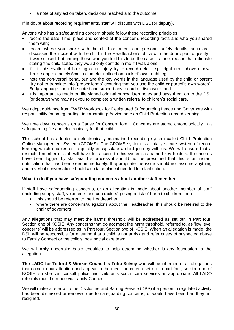a note of any action taken, decisions reached and the outcome.

If in doubt about recording requirements, staff will discuss with DSL (or deputy).

Anyone who has a safeguarding concern should follow these recording principles:

- record the date, time, place and context of the concern, recording facts and who you shared them with;
- record where you spoke with the child or parent and personal safety details, such as 'I discussed the incident with the child in the Headteacher's office with the door open' or justify if it were closed, but naming those who you told this to be the case. If alone, reason that rationale stating 'the child stated they would only confide in me if I was alone';
- if it is observation of bruising or an injury try to record detail, e.g. 'right arm, above elbow', 'bruise approximately 5cm in diameter noticed on back of lower right leg';
- note the non-verbal behaviour and the key words in the language used by the child or parent (try not to translate into 'proper terms' ensuring that you use the child or parent's own words). Body language should be noted and support any record of disclosure; and
- it is important to retain on file signed original handwritten notes and pass them on to the DSL (or deputy) who may ask you to complete a written referral to children's social care.

We adopt guidance from TWSP Workbook for Designated Safeguarding Leads and Governors with responsibility for safeguarding, incorporating: Advice note on Child Protection record keeping.

We note down concerns on a Cause for Concern form. Concerns are stored chronologically in a safeguarding file and electronically for that child.

This school has adopted an electronically maintained recording system called Child Protection Online Management System (CPOMS). The CPOMS system is a totally secure system of record keeping which enables us to quickly encapsulate a child journey with us. We will ensure that a restricted number of staff will have full access to this system as named key holders. If concerns have been logged by staff via this process it should not be presumed that this is an instant notification that has been seen immediately. If appropriate the issue should not assume anything and a verbal conversation should also take place if needed for clarification.

# **What to do if you have safeguarding concerns about another staff member**

If staff have safeguarding concerns, or an allegation is made about another member of staff (including supply staff, volunteers and contractors) posing a risk of harm to children, then:

- this should be referred to the Headteacher:
- where there are concerns/allegations about the Headteacher, this should be referred to the chair of governors

Any allegations that may meet the harms threshold will be addressed as set out in Part four, Section one of KCSIE. Any concerns that do not meet the harm threshold, referred to, as 'low level concerns' will be addressed as in Part four, Section two of KCSIE. When an allegation is made, the DSL will be responsible for ensuring that a child is not at risk and refer cases of suspected abuse to Family Connect or the child's local social care team.

We will **only** undertake basic enquiries to help determine whether is any foundation to the allegation.

**The LADO for Telford & Wrekin Council is Tutsi Selvey** who will be informed of all allegations that come to our attention and appear to the meet the criteria set out in part four, section one of KCSIE, so she can consult police and children's social care services as appropriate. All LADO referrals must be made via Family Connect.

We will make a referral to the Disclosure and Barring Service (DBS) if a person in regulated activity has been dismissed or removed due to safeguarding concerns, or would have been had they not resigned.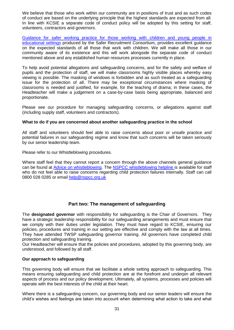We believe that those who work within our community are in positions of trust and as such codes of conduct are based on the underlying principle that the highest standards are expected from all. In line with KCSIE a separate code of conduct policy will be adopted by this setting for staff, volunteers, contractors and governors.

Guidance for safer working practice for those working with children and young people in [educational settings](https://saferrecruitmentconsortium.org/) produced by the Safer Recruitment Consortium, provides excellent guidance on the expected standards of all those that work with children. We will make all those in our community aware of its existence and this will work alongside the separate code of conduct mentioned above and any established human resources processes currently in place.

To help avoid potential allegations and safeguarding concerns, and for the safety and welfare of pupils and the protection of staff, we will make classrooms highly visible places whereby easy viewing is possible. The masking of windows is forbidden and as such treated as a safeguarding issue for the protection of all. There may be exceptional circumstances where masking of classrooms is needed and justified, for example, for the teaching of drama; in these cases, the Headteacher will make a judgement on a case-by-case basis being appropriate, balanced and proportionate.

Please see our procedure for managing safeguarding concerns, or allegations against staff (including supply staff, volunteers and contractors).

## **What to do if you are concerned about another safeguarding practice in the school**

All staff and volunteers should feel able to raise concerns about poor or unsafe practice and potential failures in our safeguarding regime and know that such concerns will be taken seriously by our senior leadership team.

Please refer to our Whistleblowing procedures.

Where staff feel that they cannot report a concern through the above channels general guidance can be found at [Advice on whistleblowing.](https://www.nspcc.org.uk/what-you-can-do/report-abuse/dedicated-helplines/whistleblowing-advice-line/?_t_id=1B2M2Y8AsgTpgAmY7PhCfg%3d%3d&_t_q=whistleblowing&_t_tags=language%3aen%2csiteid%3a7f1b9313-bf5e-4415-abf6-aaf87298c667&_t_ip=10.99.66.5&_t_hit.id=Nspcc_Web_Models_Pages_StandardPage/_f987ad5d-9f65-4e61-884e-47a48b5ac146_en-GB&_t_hit.pos=1) The NSPCC [whistleblowing helpline](https://www.nspcc.org.uk/what-you-can-do/report-abuse/dedicated-helplines/whistleblowing-advice-line/?_t_id=1B2M2Y8AsgTpgAmY7PhCfg%3d%3d&_t_q=whistleblowing&_t_tags=language%3aen%2csiteid%3a7f1b9313-bf5e-4415-abf6-aaf87298c667&_t_ip=10.99.66.5&_t_hit.id=Nspcc_Web_Models_Pages_StandardPage/_f987ad5d-9f65-4e61-884e-47a48b5ac146_en-GB&_t_hit.pos=1) is available for staff who do not feel able to raise concerns regarding child protection failures internally. Staff can call 0800 028 0285 or email [help@nspcc.org.uk](mailto:help@nspcc.org.uk)

# **Part two: The management of safeguarding**

The **designated governor** with responsibility for safeguarding is the Chair of Governors. They have a strategic leadership responsibility for our safeguarding arrangements and must ensure that we comply with their duties under legislation. They must have regard to KCSIE, ensuring our policies, procedures and training in our setting are effective and comply with the law at all times. They have attended TWSP safeguarding governor training. All governors have completed child protection and safeguarding training.

Our Headteacher will ensure that the policies and procedures, adopted by this governing body, are understood, and followed by all staff.

## **Our approach to safeguarding**

This governing body will ensure that we facilitate a whole setting approach to safeguarding. This means ensuring safeguarding and child protection are at the forefront and underpin all relevant aspects of process and our policy development. Ultimately, all systems, processes and policies will operate with the best interests of the child at their heart.

Where there is a safeguarding concern, our governing body and our senior leaders will ensure the child's wishes and feelings are taken into account when determining what action to take and what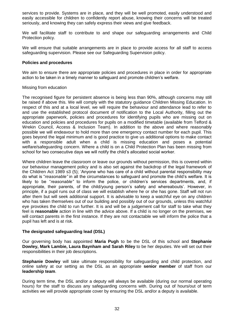services to provide. Systems are in place, and they will be well promoted, easily understood and easily accessible for children to confidently report abuse, knowing their concerns will be treated seriously, and knowing they can safely express their views and give feedback.

We will facilitate staff to contribute to and shape our safeguarding arrangements and Child Protection policy.

We will ensure that suitable arrangements are in place to provide access for all staff to access safeguarding supervision. Please see our Safeguarding Supervision policy.

#### **Policies and procedures**

We aim to ensure there are appropriate policies and procedures in place in order for appropriate action to be taken in a timely manner to safeguard and promote children's welfare.

#### Missing from education

The recognised figure for persistent absence is being less than 90%, although concerns may still be raised if above this. We will comply with the statutory guidance [Children Missing Education.](https://www.gov.uk/government/publications/children-missing-education) In respect of this and at a local level, we will require the behaviour and attendance lead to refer to and use the established protocol document of notification to the Local Authority, filling out the appropriate paperwork, policies and procedures for identifying pupils who are missing out on education and policies and procedures for pupils on a modified timetable (available from Telford & Wrekin Council, Access & Inclusion Team). In addition to the above and where reasonably possible we will endeavour to hold more than one emergency contact number for each pupil. This goes beyond the legal minimum and is good practice to give us additional options to make contact with a responsible adult when a child is missing education and poses a potential welfare/safeguarding concern. Where a child is on a Child Protection Plan has been missing from school for two consecutive days we will notify the child's allocated social worker.

Where children leave the classroom or leave our grounds without permission, this is covered within our behaviour management policy and is also set against the backdrop of the legal framework of the Children Act 1989 s3 (5); 'Anyone who has care of a child without parental responsibility may do what is "*reasonable"* in all the circumstances to safeguard and promote the child's welfare. It is likely to be "*reasonable"* to inform the police, or children's services departments, and, if appropriate, their parents, of the child/young person's safety and whereabouts'. However, in principle, if a pupil runs out of class we will establish where he or she has gone. Staff will not run after them but will seek additional support. It is advisable to keep a watchful eye on any children who has taken themselves out of our building and possibly out of our grounds, unless this watchful eye provokes the child to run further. It is and will be a judgement call for staff to take what they feel is **reasonable** action in line with the advice above. If a child is no longer on the premises, we will contact parents in the first instance. If they are not contactable we will inform the police that a pupil has left and is at risk.

## **The designated safeguarding lead (DSL)**

Our governing body has appointed **Maria Pugh** to be the DSL of this school and **Stephanie Dowley, Mark Lambie, Laura Baynham and Sarah Riley** to be her deputies. We will set out their responsibilities in their job descriptions.

**Stephanie Dowley** will take ultimate responsibility for safeguarding and child protection, and online safety at our setting as the DSL as an appropriate **senior member** of staff from our **leadership team**.

During term time, the DSL and/or a deputy will always be available (during our normal operating hours) for the staff to discuss any safeguarding concerns with. During out of hours/out of term activities we will provide appropriate cover by ensuring the DSL and/or a deputy is available.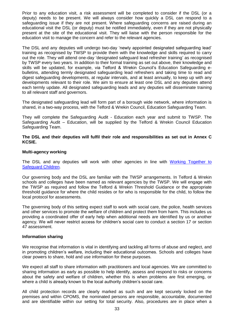Prior to any education visit, a risk assessment will be completed to consider if the DSL (or a deputy) needs to be present. We will always consider how quickly a DSL can respond to a safeguarding issue if they are not present. Where safeguarding concerns are raised during an educational visit the DSL (or deputy) must be notified immediately, even if they are not physically present at the site of the educational visit. They will liaise with the person responsible for the education visit to manage the concern and refer to the relevant agencies.

The DSL and any deputies will undergo two-day 'newly appointed designated safeguarding lead' training as recognised by TWSP to provide them with the knowledge and skills required to carry out the role. They will attend one-day 'designated safeguard lead refresher training' as recognised by TWSP every two years. In addition to their formal training as set out above, their knowledge and skills will be updated, for example, via Telford & Wrekin Council's Education Safeguarding ebulletins, attending termly designated safeguarding lead refreshers and taking time to read and digest safeguarding developments, at regular intervals, and at least annually, to keep up with any developments relevant to their role. We aim to ensure at least one DSL and any deputies attend each termly update. All designated safeguarding leads and any deputies will disseminate training to all relevant staff and governors.

The designated safeguarding lead will form part of a borough wide network, where information is shared, in a two-way process, with the Telford & Wrekin Council, Education Safeguarding Team.

They will complete the Safeguarding Audit - Education each year and submit to TWSP. The Safeguarding Audit – Education, will be supplied by the Telford & Wrekin Council Education Safeguarding Team.

**The DSL and their deputies will fulfil their role and responsibilities as set out in Annex C KCSIE.** 

#### **Multi-agency working**

The DSL and any deputies will work with other agencies in line with [Working Together to](https://www.gov.uk/government/publications/working-together-to-safeguard-children--2)  [Safeguard Children.](https://www.gov.uk/government/publications/working-together-to-safeguard-children--2)

Our governing body and the DSL are familiar with the TWSP arrangements. In Telford & Wrekin schools and colleges have been named as relevant agencies by the TWSP. We will engage with the TWSP as required and follow the Telford & Wrekin Threshold Guidance or the appropriate threshold guidance for where the child resides or for who is responsible for the child, to follow the local protocol for assessments.

The governing body of this setting expect staff to work with social care, the police, health services and other services to promote the welfare of children and protect them from harm. This includes us providing a coordinated offer of early help when additional needs are identified by us or another agency. We will never restrict access for children's social care to conduct a section 17 or section 47 assessment.

#### **Information sharing**

We recognise that information is vital in identifying and tackling all forms of abuse and neglect, and in promoting children's welfare, including their educational outcomes. Schools and colleges have clear powers to share, hold and use information for these purposes.

We expect all staff to share information with practitioners and local agencies. We are committed to sharing information as early as possible to help identify, assess and respond to risks or concerns about the safety and welfare of children, whether this is when problems are first emerging, or where a child is already known to the local authority children's social care.

All child protection records are clearly marked as such and are kept securely locked on the premises and within CPOMS, the nominated persons are responsible, accountable, documented and are identifiable within our setting for total security. Also, procedures are in place when a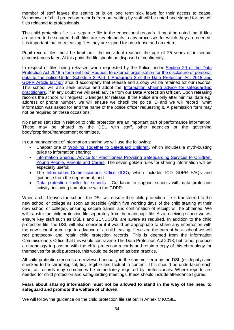member of staff leaves the setting or is on long term sick leave for their access to cease. Withdrawal of child protection records from our setting by staff will be noted and signed for, as will files released to professionals.

The child protection file is a separate file to the educational records. It must be noted that if files are asked to be secured, both files are key elements in any processes for which they are needed. It is important that on releasing files they are signed for on release and on return.

Pupil record files must be kept until the individual reaches the age of 25 years or in certain circumstances later. At this point the file should be disposed of confidently.

In respect of files being released when requested by the Police under Section 29 of the Data [Protection Act 2018 a form entitled 'Request to external organisation for the disclosure of personal](http://www.telfordsafeguardingboard.org.uk/lscb/downloads/file/257/releasing_records_-_t_and_w_guidance_-_section_29_form)  [data to the police-Under Schedule 2 Part 1 Paragraph 2 of the Data Protection Act 2018 and](http://www.telfordsafeguardingboard.org.uk/lscb/downloads/file/257/releasing_records_-_t_and_w_guidance_-_section_29_form)  [GDPR Article 6\(1\)\)d\)'](http://www.telfordsafeguardingboard.org.uk/lscb/downloads/file/257/releasing_records_-_t_and_w_guidance_-_section_29_form) should accompany that release and a copy will be retained for our records. This school will also seek advice and adopt the [Information sharing advice for safeguarding](https://www.gov.uk/government/publications/safeguarding-practitioners-information-sharing-advice)  [practitioners.](https://www.gov.uk/government/publications/safeguarding-practitioners-information-sharing-advice) If in any doubt we will seek advice from our **Data Protection Officer.** Upon releasing records the school will request ID Badges for release. If the Police are only after minimal data e.g. address or phone number, we will ensure we check the police ID and we will record what information was asked for and the name of the police officer requesting it. A permission form may not be required on these occasions.

No named statistics in relation to child protection are an important part of performance information. These may be shared by the DSL with staff, other agencies or the governing body/proprietor/management committee.

In our management of information sharing we will use the following:

- Chapter one of [Working Together to Safeguard Children,](https://www.gov.uk/government/publications/working-together-to-safeguard-children--2) which includes a myth-busting guide to information sharing;
- Information Sharing: Advice for Practitioners Providing Safeguarding Services to Children, [Young People, Parents and Carers.](https://www.gov.uk/government/publications/safeguarding-practitioners-information-sharing-advice) The seven golden rules for sharing information will be especially useful;
- The [Information Commissioner's Office \(ICO\)](https://ico.org.uk/for-organisations/business/), which includes ICO GDPR FAQs and guidance from the department; and
- [Data protection: toolkit for schools](https://www.gov.uk/government/publications/data-protection-toolkit-for-schools) Guidance to support schools with data protection activity, including compliance with the GDPR.

When a child leaves the school, the DSL will ensure their child protection file is transferred to the new school or college as soon as possible (within five working days of the child starting at their new school or college), ensuring secure transit, and confirmation of receipt will be obtained. We will transfer the child protection file separately from the main pupil file. As a receiving school we will ensure key staff such as DSL's and SENDCO's, are aware as required. In addition to the child protection file, the DSL will also consider if it would be appropriate to share any information with the new school or college in advance of a child leaving. If we are the current host school we will **not** photocopy and retain child protection records. This is deemed from the Information Commissioners Office that this would contravene The Data Protection Act 2018, but rather produce a chronology to pass on with the child protection records and retain a copy of this chronology for themselves for audit purposes, this would be deemed as best practice.

All child protection records are reviewed annually in the summer term by the DSL (or deputy) and checked to be chronological, tidy, legible and factual in content. This should be undertaken each year, as records may sometimes be immediately required by professionals. Where reports are needed for child protection and safeguarding meetings, these should include attendance figures.

## **Fears about sharing information must not be allowed to stand in the way of the need to safeguard and promote the welfare of children.**

We will follow the guidance on the child protection file set out in Annex C KCSIE.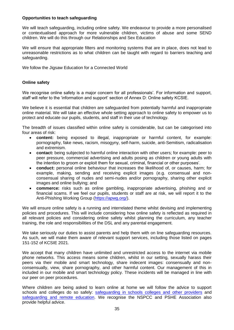## **Opportunities to teach safeguarding**

We will teach safeguarding, including online safety. We endeavour to provide a more personalised or contextualised approach for more vulnerable children, victims of abuse and some SEND children. We will do this through our Relationships and Sex Education

We will ensure that appropriate filters and monitoring systems that are in place, does not lead to unreasonable restrictions as to what children can be taught with regard to barriers teaching and safeguarding.

We follow the Jigsaw Education for a Connected World

## **Online safety**

We recognise online safety is a major concern for all professionals'. For information and support, staff will refer to the 'information and support' section of Annex D: Online safety KCSIE.

We believe it is essential that children are safeguarded from potentially harmful and inappropriate online material. We will take an effective whole setting approach to online safety to empower us to protect and educate our pupils, students, and staff in their use of technology.

The breadth of issues classified within online safety is considerable, but can be categorised into four areas of risk:

- **content:** being exposed to illegal, inappropriate or harmful content, for example: pornography, fake news, racism, misogyny, self-harm, suicide, anti-Semitism, radicalisation and extremism.
- **contact:** being subjected to harmful online interaction with other users; for example: peer to peer pressure, commercial advertising and adults posing as children or young adults with the intention to groom or exploit them for sexual, criminal, financial or other purposes'.
- **conduct:** personal online behaviour that increases the likelihood of, or causes, harm; for example, making, sending and receiving explicit images (e.g. consensual and nonconsensual sharing of nudes and semi-nudes and/or pornography, sharing other explicit images and online bullying; and
- **commerce:** risks such as online gambling, inappropriate advertising, phishing and or financial scams. If we feel our pupils, students or staff are at risk, we will report it to the Anti-Phishing Working Group [\(https://apwg.org/\)](https://apwg.org/).

We will ensure online safety is a running and interrelated theme whilst devising and implementing policies and procedures. This will include considering how online safety is reflected as required in all relevant policies and considering online safety whilst planning the curriculum, any teacher training, the role and responsibilities of the DSL and any parental engagement.

We take seriously our duties to assist parents and help them with on line safeguarding resources. As such, we will make them aware of relevant support services, including those listed on pages 151-152 of KCSIE 2021.

We accept that many children have unlimited and unrestricted access to the internet via mobile phone networks. This access means some children, whilst in our setting, sexually harass their peers via their mobile and smart technology, share indecent images: consensually and nonconsensually, view, share pornography, and other harmful content. Our management of this in included in our mobile and smart technology policy. These incidents will be managed in line with our peer on peer procedures.

Where children are being asked to learn online at home we will follow the advice to support schools and colleges do so safely: [safeguarding in schools colleges and other providers](https://protocol.telford.gov.uk/web/view.htm?id=46cf3847ca283305136730&cls=com.ics.DBPerson) and [safeguarding and remote education.](https://www.gov.uk/guidance/safeguarding-and-remote-education-during-coronavirus-covid-19) We recognise the NSPCC and PSHE Association also provide helpful advice.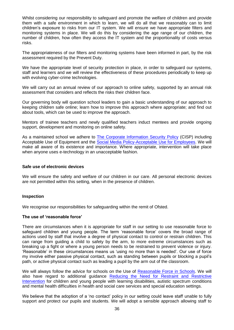Whilst considering our responsibility to safeguard and promote the welfare of children and provide them with a safe environment in which to learn, we will do all that we reasonably can to limit children's exposure to risks from our IT system. We will ensure we have appropriate filters and monitoring systems in place. We will do this by considering the age range of our children, the number of children, how often they access the IT system and the proportionality of costs versus risks.

The appropriateness of our filters and monitoring systems have been informed in part, by the risk assessment required by the Prevent Duty.

We have the appropriate level of security protection in place, in order to safeguard our systems, staff and learners and we will review the effectiveness of these procedures periodically to keep up with evolving cyber-crime technologies.

We will carry out an annual review of our approach to online safety, supported by an annual risk assessment that considers and reflects the risks their children face.

Our governing body will question school leaders to gain a basic understanding of our approach to keeping children safe online; learn how to improve this approach where appropriate; and find out about tools, which can be used to improve the approach.

Mentors of trainee teachers and newly qualified teachers induct mentees and provide ongoing support, development and monitoring on online safety.

As a maintained school we adhere to [The Corporate Information Security Policy](http://www.telfordsafeguardingboard.org.uk/lscb/downloads/file/20/corporate_information_security_policy_cisp_52-16) (CISP) including Acceptable Use of Equipment and the [Social Media Policy-Acceptable Use for Employees.](http://www.telfordsafeguardingboard.org.uk/lscb/downloads/file/21/social_media_policy) We will make all aware of its existence and importance. Where appropriate, intervention will take place when anyone uses e-technology in an unacceptable fashion.

#### **Safe use of electronic devices**

We will ensure the safety and welfare of our children in our care. All personal electronic devices are not permitted within this setting, when in the presence of children.

## **Inspection**

We recognise our responsibilities for safeguarding within the remit of Ofsted.

#### **The use of 'reasonable force'**

There are circumstances when it is appropriate for staff in our setting to use reasonable force to safeguard children and young people. The term 'reasonable force' covers the broad range of actions used by staff that involve a degree of physical contact to control or restrain children. This can range from guiding a child to safety by the arm, to more extreme circumstances such as breaking up a fight or where a young person needs to be restrained to prevent violence or injury. 'Reasonable' in these circumstances means us 'using no more than is needed'. Our use of force my involve either passive physical contact, such as standing between pupils or blocking a pupil's path, or active physical contact such as leading a pupil by the arm out of the classroom.

We will always follow the advice for schools on the Use of [Reasonable Force in Schools.](https://www.gov.uk/government/publications/use-of-reasonable-force-in-schools) We will also have regard to additional guidance [Reducing the Need for Restraint and Restrictive](https://www.gov.uk/government/publications/reducing-the-need-for-restraint-and-restrictive-intervention)  [Intervention](https://www.gov.uk/government/publications/reducing-the-need-for-restraint-and-restrictive-intervention) for children and young people with learning disabilities, autistic spectrum conditions and mental health difficulties in health and social care services and special education settings.

We believe that the adoption of a 'no contact' policy in our setting could leave staff unable to fully support and protect our pupils and students. We will adopt a sensible approach allowing staff to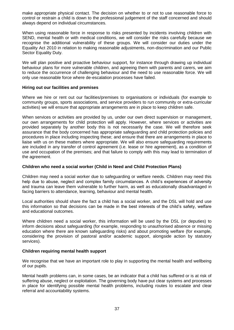make appropriate physical contact. The decision on whether to or not to use reasonable force to control or restrain a child is down to the professional judgement of the staff concerned and should always depend on individual circumstances.

When using reasonable force in response to risks presented by incidents involving children with SEND, mental health or with medical conditions, we will consider the risks carefully because we recognise the additional vulnerability of these groups. We will consider our duties under the Equality Act 2010 in relation to making reasonable adjustments, non-discrimination and our Public Sector Equality Duty.

We will plan positive and proactive behaviour support, for instance through drawing up individual behaviour plans for more vulnerable children, and agreeing them with parents and carers, we aim to reduce the occurrence of challenging behaviour and the need to use reasonable force. We will only use reasonable force where de-escalation processes have failed.

## **Hiring out our facilities and premises**

Where we hire or rent out our facilities/premises to organisations or individuals (for example to community groups, sports associations, and service providers to run community or extra-curricular activities) we will ensure that appropriate arrangements are in place to keep children safe.

When services or activities are provided by us, under our own direct supervision or management, our own arrangements for child protection will apply. However, where services or activities are provided separately by another body this is not necessarily the case. We will therefore seek assurance that the body concerned has appropriate safeguarding and child protection policies and procedures in place including inspecting these; and ensure that there are arrangements in place to liaise with us on these matters where appropriate. We will also ensure safeguarding requirements are included in any transfer of control agreement (i.e. lease or hire agreement), as a condition of use and occupation of the premises; and that failure to comply with this may lead to termination of the agreement.

# **Children who need a social worker (Child in Need and Child Protection Plans)**

Children may need a social worker due to safeguarding or welfare needs. Children may need this help due to abuse, neglect and complex family circumstances. A child's experiences of adversity and trauma can leave them vulnerable to further harm, as well as educationally disadvantaged in facing barriers to attendance, learning, behaviour and mental health.

Local authorities should share the fact a child has a social worker, and the DSL will hold and use this information so that decisions can be made in the best interests of the child's safety, welfare and educational outcomes.

Where children need a social worker, this information will be used by the DSL (or deputies) to inform decisions about safeguarding (for example, responding to unauthorised absence or missing education where there are known safeguarding risks) and about promoting welfare (for example, considering the provision of pastoral and/or academic support, alongside action by statutory services).

## **Children requiring mental health support**

We recognise that we have an important role to play in supporting the mental health and wellbeing of our pupils.

Mental health problems can, in some cases, be an indicator that a child has suffered or is at risk of suffering abuse, neglect or exploitation. The governing body have put clear systems and processes in place for identifying possible mental health problems, including routes to escalate and clear referral and accountability systems.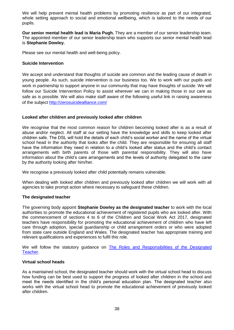We will help prevent mental health problems by promoting resilience as part of our integrated, whole setting approach to social and emotional wellbeing, which is tailored to the needs of our pupils.

**Our senior mental health lead is Maria Pugh.** They are a member of our senior leadership team. The appointed member of our senior leadership team who supports our senior mental health lead is **Stephanie Dowley.**

Please see our mental health and well-being policy.

## **Suicide Intervention**

We accept and understand that thoughts of suicide are common and the leading cause of death in young people. As such, suicide intervention is our business too. We to work with our pupils and work in partnership to support anyone in our community that may have thoughts of suicide. We will follow our [Suicide Intervention Policy](http://www.telfordsafeguardingboard.org.uk/lscb/downloads/file/343/suicide_intervention_policy) to assist wherever we can in making those in our care as safe as is possible. We will also make staff aware of the following useful link in raising awareness of the subject <http://zerosuicidealliance.com/>

## **Looked after children and previously looked after children**

We recognise that the most common reason for children becoming looked after is as a result of abuse and/or neglect. All staff at our setting have the knowledge and skills to keep looked after children safe. The DSL will hold the details of each child's social worker and the name of the virtual school head in the authority that looks after the child. They are responsible for ensuring all staff have the information they need in relation to a child's looked after status and the child's contact arrangements with birth parents of those with parental responsibility. They will also have information about the child's care arrangements and the levels of authority delegated to the carer by the authority looking after him/her.

We recognise a previously looked after child potentially remains vulnerable.

When dealing with looked after children and previously looked after children we will work with all agencies to take prompt action where necessary to safeguard these children.

## **The designated teacher**

The governing body appoint **Stephanie Dowley as the designated teacher** to work with the local authorities to promote the educational achievement of registered pupils who are looked after. With the commencement of sections 4 to 6 of the Children and Social Work Act 2017, designated teachers have responsibility for promoting the educational achievement of children who have left care through adoption, special guardianship or child arrangement orders or who were adopted from state care outside England and Wales. The designated teacher has appropriate training and relevant qualifications and experiences to fulfil this role.

We will follow the statutory guidance on [The Roles and Responsibilities of the Designated](https://www.gov.uk/government/publications/designated-teacher-for-looked-after-children)  [Teacher.](https://www.gov.uk/government/publications/designated-teacher-for-looked-after-children)

## **Virtual school heads**

As a maintained school, the designated teacher should work with the virtual school head to discuss how funding can be best used to support the progress of looked after children in the school and meet the needs identified in the child's personal education plan. The designated teacher also works with the virtual school head to promote the educational achievement of previously looked after children.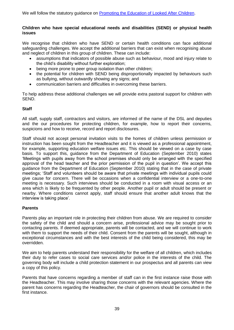## **Children who have special educational needs and disabilities (SEND) or physical health issues**

We recognise that children who have SEND or certain health conditions can face additional safeguarding challenges. We accept the additional barriers that can exist when recognising abuse and neglect of children in this group of children. These can include:

- assumptions that indicators of possible abuse such as behaviour, mood and injury relate to the child's disability without further exploration;
- being more prone to peer group isolation than other children;
- the potential for children with SEND being disproportionally impacted by behaviours such as bullying, without outwardly showing any signs; and
- communication barriers and difficulties in overcoming these barriers.

To help address these additional challenges we will provide extra pastoral support for children with SEND.

## **Staff**

All staff, supply staff, contractors and visitors, are informed of the name of the DSL and deputies and the our procedures for protecting children, for example, how to report their concerns, suspicions and how to receive, record and report disclosures.

Staff should not accept personal invitation visits to the homes of children unless permission or instruction has been sought from the Headteacher and it is viewed as a professional appointment, for example, supporting education welfare issues etc. This should be viewed on a case by case basis. To support this, guidance from the Department of Education (September 2010) states 'Meetings with pupils away from the school premises should only be arranged with the specified approval of the head teacher and the prior permission of the pupil in question'. We accept this guidance from the Department of Education (September 2010) stating that in the case of private meetings; 'Staff and volunteers should be aware that private meetings with individual pupils could give cause for concern. There will be occasions when a confidential interview or a one-to-one meeting is necessary. Such interviews should be conducted in a room with visual access or an area which is likely to be frequented by other people. Another pupil or adult should be present or nearby. Where conditions cannot apply, staff should ensure that another adult knows that the interview is taking place'.

## **Parents**

Parents play an important role in protecting their children from abuse. We are required to consider the safety of the child and should a concern arise, professional advice may be sought prior to contacting parents. If deemed appropriate, parents will be contacted, and we will continue to work with them to support the needs of their child. Consent from the parents will be sought, although in exceptional circumstances and with the best interests of the child being considered, this may be overridden.

We aim to help parents understand their responsibility for the welfare of all children, which includes their duty to refer cases to social care services and/or police in the interests of the child. The governing body will include a child protection statement in our prospectus and all parents can view a copy of this policy.

Parents that have concerns regarding a member of staff can in the first instance raise those with the Headteacher. This may involve sharing those concerns with the relevant agencies. Where the parent has concerns regarding the Headteacher, the chair of governors should be consulted in the first instance.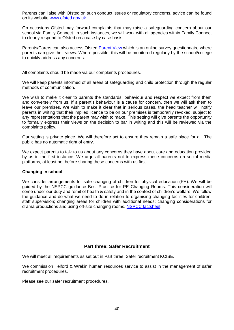Parents can liaise with Ofsted on such conduct issues or regulatory concerns, advice can be found on its website [www.ofsted.gov.uk](http://www.ofsted.gov.uk/)**.**

On occasions Ofsted may forward complaints that may raise a safeguarding concern about our school via Family Connect. In such instances, we will work with all agencies within Family Connect to clearly respond to Ofsted on a case by case basis.

Parents/Carers can also access Ofsted **Parent View** which is an online survey questionnaire where parents can give their views. Where possible, this will be monitored regularly by the school/college to quickly address any concerns.

All complaints should be made via our complaints procedures.

We will keep parents informed of all areas of safeguarding and child protection through the regular methods of communication.

We wish to make it clear to parents the standards, behaviour and respect we expect from them and conversely from us. If a parent's behaviour is a cause for concern, then we will ask them to leave our premises. We wish to make it clear that in serious cases, the head teacher will notify parents in writing that their implied licence to be on our premises is temporarily revoked, subject to any representations that the parent may wish to make. This setting will give parents the opportunity to formally express their views on the decision to bar in writing and this will be reviewed via the complaints policy.

Our setting is private place. We will therefore act to ensure they remain a safe place for all. The public has no automatic right of entry.

We expect parents to talk to us about any concerns they have about care and education provided by us in the first instance. We urge all parents not to express these concerns on social media platforms, at least not before sharing these concerns with us first.

## **Changing in school**

We consider arrangements for safe changing of children for physical education (PE). We will be guided by the NSPCC guidance Best Practice for PE Changing Rooms. This consideration will come under our duty and remit of health & safety and in the context of children's welfare. We follow the guidance and do what we need to do in relation to organising changing facilities for children; staff supervision; changing areas for children with additional needs; changing considerations for drama productions and using off-site changing rooms. [NSPCC factsheet](https://www.nspcc.org.uk/globalassets/documents/information-service/schools-factsheet-best-practice-for-pe-changing-rooms.pdf)

## **Part three: Safer Recruitment**

We will meet all requirements as set out in Part three: Safer recruitment KCISE.

We commission Telford & Wrekin human resources service to assist in the management of safer recruitment procedures.

Please see our safer recruitment procedures.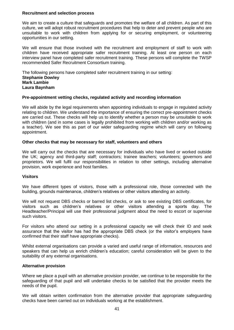## **Recruitment and selection process**

We aim to create a culture that safeguards and promotes the welfare of all children. As part of this culture, we will adopt robust recruitment procedures that help to deter and prevent people who are unsuitable to work with children from applying for or securing employment, or volunteering opportunities in our setting.

We will ensure that those involved with the recruitment and employment of staff to work with children have received appropriate safer recruitment training. At least one person on each interview panel have completed safer recruitment training. These persons will complete the TWSP recommended Safer Recruitment Consortium training.

The following persons have completed safer recruitment training in our setting: **Stephanie Dowley Mark Lambie Laura Baynham**

## **Pre-appointment vetting checks, regulated activity and recording information**

We will abide by the legal requirements when appointing individuals to engage in regulated activity relating to children. We understand the importance of ensuring the correct pre-appointment checks are carried out. These checks will help us to identify whether a person may be unsuitable to work with children (and in some cases is legally prohibited from working with children and/or working as a teacher). We see this as part of our wider safeguarding regime which will carry on following appointment.

## **Other checks that may be necessary for staff, volunteers and others**

We will carry out the checks that are necessary for individuals who have lived or worked outside the UK; agency and third-party staff; contractors; trainee teachers; volunteers; governors and proprietors. We will fulfil our responsibilities in relation to other settings, including alternative provision, work experience and host families.

## **Visitors**

We have different types of visitors, those with a professional role, those connected with the building, grounds maintenance, children's relatives or other visitors attending an activity.

We will not request DBS checks or barred list checks, or ask to see existing DBS certificates, for visitors such as children's relatives or other visitors attending a sports day. The Headteacher/Principal will use their professional judgment about the need to escort or supervise such visitors.

For visitors who attend our setting in a professional capacity we will check their ID and seek assurance that the visitor has had the appropriate DBS check (or the visitor's employers have confirmed that their staff have appropriate checks).

Whilst external organisations can provide a varied and useful range of information, resources and speakers that can help us enrich children's education; careful consideration will be given to the suitability of any external organisations.

#### **Alternative provision**

Where we place a pupil with an alternative provision provider, we continue to be responsible for the safeguarding of that pupil and will undertake checks to be satisfied that the provider meets the needs of the pupil.

We will obtain written confirmation from the alternative provider that appropriate safeguarding checks have been carried out on individuals working at the establishment.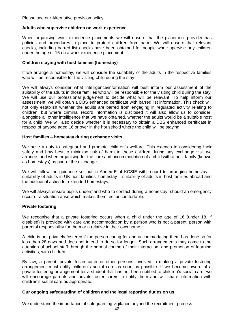Please see our Alternative provision policy.

## **Adults who supervise children on work experience**

When organising work experience placements we will ensure that the placement provider has policies and procedures in place to protect children from harm. We will ensure that relevant checks, including barred list checks have been obtained for people who supervise any children under the age of 16 on a work experience placement.

## **Children staying with host families (homestay)**

If we arrange a homestay, we will consider the suitability of the adults in the respective families who will be responsible for the visiting child during the stay.

We will always consider what intelligence/information will best inform our assessment of the suitability of the adults in those families who will be responsible for the visiting child during the stay. We will use our professional judgement to decide what will be relevant. To help inform our assessment, we will obtain a DBS enhanced certificate with barred list information. This check will not only establish whether the adults are barred from engaging in regulated activity relating to children, but where criminal record information is disclosed it will also allow us to consider, alongside all other intelligence that we have obtained, whether the adults would be a suitable host for a child. We will also decide whether it is necessary to obtain a DBS enhanced certificate in respect of anyone aged 16 or over in the household where the child will be staying.

#### **Host families – homestay during exchange visits**

We have a duty to safeguard and promote children's welfare. This extends to considering their safety and how best to minimise risk of harm to those children during any exchange visit we arrange, and when organising for the care and accommodation of a child with a host family (known as homestays) as part of the exchange.

We will follow the guidance set out in Annex E of KCSIE with regard to arranging homestay suitability of adults in UK host families, homestay – suitability of adults in host families abroad and the additional action for extended homestays.

We will always ensure pupils understand who to contact during a homestay, should an emergency occur or a situation arise which makes them feel uncomfortable.

#### **Private fostering**

We recognise that a private fostering occurs when a child under the age of 16 (under 18, if disabled) is provided with care and accommodation by a person who is not a parent, person with parental responsibility for them or a relative in their own home.

A child is not privately fostered if the person caring for and accommodating them has done so for less than 28 days and does not intend to do so for longer. Such arrangements may come to the attention of school staff through the normal course of their interaction, and promotion of learning activities, with children.

By law, a parent, private foster carer or other persons involved in making a private fostering arrangement must notify children's social care as soon as possible. If we become aware of a private fostering arrangement for a student that has not been notified to children's social care, we will encourage parents and private foster carers to notify them and will share information with children's social care as appropriate.

## **Our ongoing safeguarding of children and the legal reporting duties on us**

We understand the importance of safeguarding vigilance beyond the recruitment process.